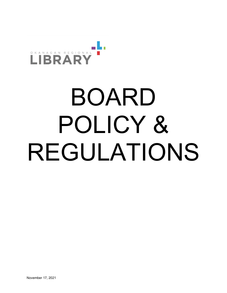

# BOARD POLICY & REGULATIONS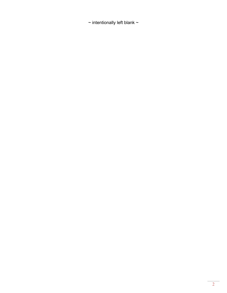$\sim$  intentionally left blank  $\sim$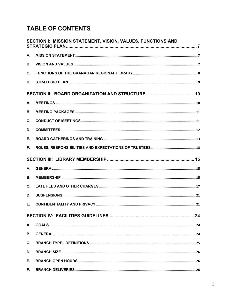# **TABLE OF CONTENTS**

|    | SECTION I: MISSION STATEMENT, VISION, VALUES, FUNCTIONS AND |
|----|-------------------------------------------------------------|
| А. |                                                             |
| В. |                                                             |
| C. |                                                             |
| D. |                                                             |
|    |                                                             |
| А. |                                                             |
| В. |                                                             |
| C. |                                                             |
| D. |                                                             |
| Ε. |                                                             |
| F. |                                                             |
|    |                                                             |
| А. |                                                             |
| В. |                                                             |
| C. |                                                             |
| D. |                                                             |
|    | . 21                                                        |
|    |                                                             |
| А. |                                                             |
| В. |                                                             |
| C. |                                                             |
| D. |                                                             |
| Е. |                                                             |
| F. |                                                             |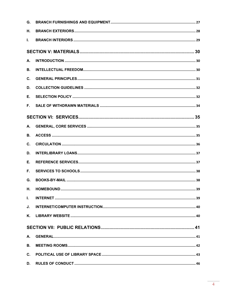| G.             |  |
|----------------|--|
| Н.             |  |
| L.             |  |
|                |  |
| А.             |  |
| В.             |  |
| C.             |  |
| D.             |  |
| Е.             |  |
| F.             |  |
|                |  |
| А.             |  |
| В.             |  |
| C.             |  |
| D.             |  |
| Е.             |  |
| F.,            |  |
| G.             |  |
| Η.             |  |
| L.             |  |
| J.             |  |
| Κ.             |  |
|                |  |
| А.             |  |
| <b>B.</b>      |  |
| $\mathbf{C}$ . |  |
| D.             |  |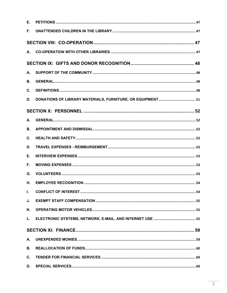| Е.        |  |
|-----------|--|
| F.        |  |
|           |  |
|           |  |
|           |  |
| А.        |  |
| <b>B.</b> |  |
| C.        |  |
| D.        |  |
|           |  |
| А.        |  |
| <b>B.</b> |  |
| C.        |  |
| D.        |  |
| Е.        |  |
| F.        |  |
| G.        |  |
| Η.        |  |
| L.        |  |
| J.        |  |
| Κ.        |  |
| L.        |  |
|           |  |
| А.        |  |
| <b>B.</b> |  |
| C.        |  |
| D.        |  |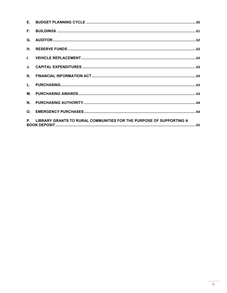| F.             |                                                                        |
|----------------|------------------------------------------------------------------------|
| G.             |                                                                        |
| <b>H.</b>      |                                                                        |
|                |                                                                        |
|                |                                                                        |
|                |                                                                        |
|                |                                                                        |
|                |                                                                        |
| $N_{\odot}$    |                                                                        |
| O <sub>1</sub> |                                                                        |
|                | P. LIBRARY GRANTS TO RURAL COMMUNITIES FOR THE PURPOSE OF SUPPORTING A |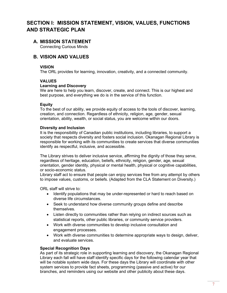# **SECTION I: MISSION STATEMENT, VISION, VALUES, FUNCTIONS AND STRATEGIC PLAN**

# **A. MISSION STATEMENT**

Connecting Curious Minds

# **B. VISION AND VALUES**

#### **VISION**

The ORL provides for learning, innovation, creativity, and a connected community.

#### **VALUES**

#### **Learning and Discovery**

We are here to help you learn, discover, create, and connect. This is our highest and best purpose, and everything we do is in the service of this function.

#### **Equity**

To the best of our ability, we provide equity of access to the tools of discover, learning, creation, and connection. Regardless of ethnicity, religion, age, gender, sexual orientation, ability, wealth, or social status, you are welcome within our doors.

#### **Diversity and Inclusion**

It is the responsibility of Canadian public institutions, including libraries, to support a society that respects diversity and fosters social inclusion. Okanagan Regional Library is responsible for working with its communities to create services that diverse communities identify as respectful, inclusive, and accessible.

The Library strives to deliver inclusive service, affirming the dignity of those they serve, regardless of heritage, education, beliefs, ethnicity, religion, gender, age, sexual orientation, gender identity, physical or mental health, physical or cognitive capabilities, or socio-economic status.

Library staff act to ensure that people can enjoy services free from any attempt by others to impose values, customs, or beliefs. (Adapted from the CLA Statement on Diversity.)

ORL staff will strive to:

- Identify populations that may be under-represented or hard to reach based on diverse life circumstances.
- Seek to understand how diverse community groups define and describe themselves.
- Listen directly to communities rather than relying on indirect sources such as statistical reports, other public libraries, or community service providers.
- Work with diverse communities to develop inclusive consultation and engagement processes.
- Work with diverse communities to determine appropriate ways to design, deliver, and evaluate services.

#### **Special Recognition Days**

As part of its strategic role in supporting learning and discovery, the Okanagan Regional Library each fall will have staff identify specific days for the following calendar year that will be notable system wide days. For these days the Library will coordinate with other system services to provide fact sheets, programming (passive and active) for our branches, and reminders using our website and other publicity about these days.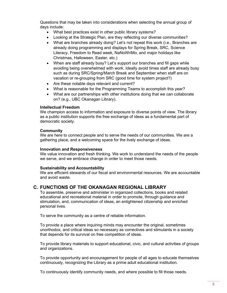Questions that may be taken into considerations when selecting the annual group of days include:

- What best practices exist in other public library systems?
- Looking at the Strategic Plan, are they reflecting our diverse communities?
- What are branches already doing? Let's not repeat this work (i.e., Branches are already doing programming and displays for Spring Break, SRC, Science Literacy, Freedom to Read week, NaNoWriMo, and major holidays like Christmas, Halloween, Easter, etc.)
- When are staff already busy? Let's support our branches and fill gaps while avoiding being overwhelmed with work. Ideally avoid times staff are already busy such as during SRC/Spring/March Break and September when staff are on vacation or re-grouping from SRC (good time for system project?)
- Are these notable days relevant and current?
- What is reasonable for the Programming Teams to accomplish this year?
- What are our partnerships with other institutions doing that we can collaborate on? (e.g., UBC Okanagan Library).

#### **Intellectual Freedom**

We champion access to information and exposure to diverse points of view. The library as a public institution supports the free exchange of ideas as a fundamental part of democratic society.

#### **Community**

We are here to connect people and to serve the needs of our communities. We are a gathering place, and a welcoming space for the lively exchange of ideas.

#### **Innovation and Responsiveness**

We value innovation and fresh thinking. We work to understand the needs of the people we serve, and we embrace change in order to meet those needs.

#### **Sustainability and Accountability**

We are efficient stewards of our fiscal and environmental resources. We are accountable and avoid waste.

# **C. FUNCTIONS OF THE OKANAGAN REGIONAL LIBRARY**

To assemble, preserve and administer in organized collections, books and related educational and recreational material in order to promote, through guidance and stimulation, and, communication of ideas, an enlightened citizenship and enriched personal lives.

To serve the community as a centre of reliable information.

To provide a place where inquiring minds may encounter the original, sometimes unorthodox, and critical ideas so necessary as correctives and stimulants in a society that depends for its survival on free competition of ideas.

To provide library materials to support educational, civic, and cultural activities of groups and organizations.

To provide opportunity and encouragement for people of all ages to educate themselves continuously, recognizing the Library as a prime adult educational institution.

To continuously identify community needs, and where possible to fill those needs.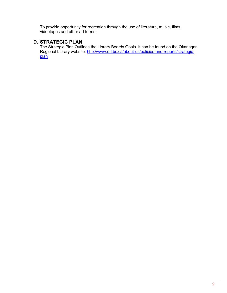To provide opportunity for recreation through the use of literature, music, films, videotapes and other art forms.

# **D. STRATEGIC PLAN**

The Strategic Plan Outlines the Library Boards Goals. It can be found on the Okanagan Regional Library website: <u>http://www.orl.bc.ca/about-us/policies-and-reports/strategic-</u> [plan](http://www.orl.bc.ca/about-us/policies-and-reports/strategic-plan)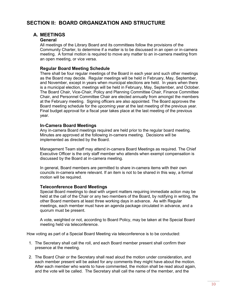# **SECTION II: BOARD ORGANIZATION AND STRUCTURE**

# **A. MEETINGS**

#### **General**

All meetings of the Library Board and its committees follow the provisions of the Community Charter, to determine if a matter is to be discussed in an open or in-camera meeting. A formal motion is required to move any matter to an in-camera meeting from an open meeting, or vice versa.

#### **Regular Board Meeting Schedule**

There shall be four regular meetings of the Board in each year and such other meetings as the Board may decide. Regular meetings will be held in February, May, September, and November, except in years when municipal elections are held. In years when there is a municipal election, meetings will be held in February, May, September, and October. The Board Chair, Vice-Chair, Policy and Planning Committee Chair, Finance Committee Chair, and Personnel Committee Chair are elected annually from amongst the members at the February meeting. Signing officers are also appointed. The Board approves the Board meeting schedule for the upcoming year at the last meeting of the previous year. Final budget approval for a fiscal year takes place at the last meeting of the previous year.

#### **In-Camera Board Meetings**

Any in-camera Board meetings required are held prior to the regular board meeting. Minutes are approved at the following in-camera meeting. Decisions will be implemented as directed by the Board.

Management Team staff may attend in-camera Board Meetings as required. The Chief Executive Officer is the only staff member who attends when exempt compensation is discussed by the Board at in-camera meeting.

In general, Board members are permitted to share in-camera items with their own councils in-camera where relevant. If an item is not to be shared in this way, a formal motion will be required.

#### **Teleconference Board Meetings**

Special Board meetings to deal with urgent matters requiring immediate action may be held at the call of the Chair or any two members of the Board, by notifying in writing, the other Board members at least three working days in advance. As with Regular meetings, each member must have an agenda package circulated in advance, and a quorum must be present.

A vote, weighted or not, according to Board Policy, may be taken at the Special Board meeting held via teleconference.

How voting as part of a Special Board Meeting via teleconference is to be conducted:

- 1. The Secretary shall call the roll, and each Board member present shall confirm their presence at the meeting.
- 2. The Board Chair or the Secretary shall read aloud the motion under consideration, and each member present will be asked for any comments they might have about the motion. After each member who wants to have commented, the motion shall be read aloud again, and the vote will be called. The Secretary shall call the name of the member, and the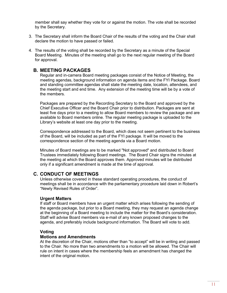member shall say whether they vote for or against the motion. The vote shall be recorded by the Secretary.

- 3. The Secretary shall inform the Board Chair of the results of the voting and the Chair shall declare the motion to have passed or failed.
- 4. The results of the voting shall be recorded by the Secretary as a minute of the Special Board Meeting. Minutes of the meeting shall go to the next regular meeting of the Board for approval.

# **B. MEETING PACKAGES**

Regular and in-camera Board meeting packages consist of the Notice of Meeting, the meeting agendas, background information on agenda items and the FYI Package. Board and standing committee agendas shall state the meeting date, location, attendees, and the meeting start and end time. Any extension of the meeting time will be by a vote of the members.

Packages are prepared by the Recording Secretary to the Board and approved by the Chief Executive Officer and the Board Chair prior to distribution. Packages are sent at least five days prior to a meeting to allow Board members to review the package and are available to Board members online. The regular meeting package is uploaded to the Library's website at least one day prior to the meeting.

Correspondence addressed to the Board, which does not seem pertinent to the business of the Board, will be included as part of the FYI package. It will be moved to the correspondence section of the meeting agenda via a Board motion.

Minutes of Board meetings are to be marked "Not approved" and distributed to Board Trustees immediately following Board meetings. The Board Chair signs the minutes at the meeting at which the Board approves them. Approved minutes will be distributed only if a significant amendment is made at the time of approval.

# **C. CONDUCT OF MEETINGS**

Unless otherwise covered in these standard operating procedures, the conduct of meetings shall be in accordance with the parliamentary procedure laid down in Robert's "Newly Revised Rules of Order".

#### **Urgent Matters**

If staff or Board members have an urgent matter which arises following the sending of the agenda package, but prior to a Board meeting, they may request an agenda change at the beginning of a Board meeting to include the matter for the Board's consideration. Staff will advise Board members via e-mail of any known proposed changes to the agenda, and preferably include background information. The Board will vote to add.

# **Voting**

#### **Motions and Amendments**

At the discretion of the Chair, motions other than "to accept" will be in writing and passed to the Chair. No more than two amendments to a motion will be allowed. The Chair will rule on intent in cases where the membership feels an amendment has changed the intent of the original motion.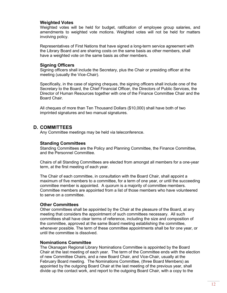#### **Weighted Votes**

Weighted votes will be held for budget, ratification of employee group salaries, and amendments to weighted vote motions. Weighted votes will not be held for matters involving policy.

Representatives of First Nations that have signed a long-term service agreement with the Library Board and are sharing costs on the same basis as other members, shall have a weighted vote on the same basis as other members.

#### **Signing Officers**

Signing officers shall include the Secretary, plus the Chair or presiding officer at the meeting (usually the Vice-Chair).

Specifically, in the case of signing cheques, the signing officers shall include one of the Secretary to the Board, the Chief Financial Officer, the Directors of Public Services, the Director of Human Resources together with one of the Finance Committee Chair and the Board Chair.

All cheques of more than Ten Thousand Dollars (\$10,000) shall have both of two imprinted signatures and two manual signatures.

# **D. COMMITTEES**

Any Committee meetings may be held via teleconference.

#### **Standing Committees**

Standing Committees are the Policy and Planning Committee, the Finance Committee, and the Personnel Committee.

Chairs of all Standing Committees are elected from amongst all members for a one-year term, at the first meeting of each year.

The Chair of each committee, in consultation with the Board Chair, shall appoint a maximum of five members to a committee, for a term of one year, or until the succeeding committee member is appointed. A quorum is a majority of committee members. Committee members are appointed from a list of those members who have volunteered to serve on a committee.

#### **Other Committees**

Other committees shall be appointed by the Chair at the pleasure of the Board, at any meeting that considers the appointment of such committees necessary. All such committees shall have clear terms of reference, including the size and composition of the committee, approved at the same Board meeting establishing the committee, whenever possible. The term of these committee appointments shall be for one year, or until the committee is dissolved.

#### **Nominations Committee**

The Okanagan Regional Library Nominations Committee is appointed by the Board Chair at the last meeting of each year. The term of the Committee ends with the election of new Committee Chairs, and a new Board Chair, and Vice-Chair, usually at the February Board meeting. The Nominations Committee, (three Board Members) as appointed by the outgoing Board Chair at the last meeting of the previous year, shall divide up the contact work, and report to the outgoing Board Chair, with a copy to the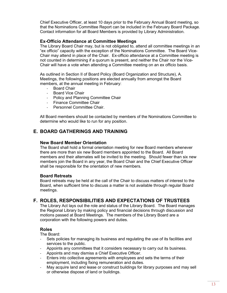Chief Executive Officer, at least 10 days prior to the February Annual Board meeting, so that the Nominations Committee Report can be included in the February Board Package. Contact information for all Board Members is provided by Library Administration.

### **Ex-Officio Attendance at Committee Meetings**

The Library Board Chair may, but is not obligated to, attend all committee meetings in an "ex officio" capacity with the exception of the Nominations Committee. The Board Vice-Chair may attend in place of the Chair. Ex-officio attendance at a Committee meeting is not counted in determining if a quorum is present, and neither the Chair nor the Vice-Chair will have a vote when attending a Committee meeting on an ex officio basis.

As outlined in Section II of Board Policy (Board Organization and Structure), A. Meetings, the following positions are elected annually from amongst the Board members, at the annual meeting in February:

- Board Chair
- Board Vice Chair
- Policy and Planning Committee Chair
- Finance Committee Chair
- Personnel Committee Chair.

All Board members should be contacted by members of the Nominations Committee to determine who would like to run for any position.

# **E. BOARD GATHERINGS AND TRAINING**

#### **New Board Member Orientation**

The Board shall hold a formal orientation meeting for new Board members whenever there are more than six new Board members appointed to the Board. All Board members and their alternates will be invited to the meeting. Should fewer than six new members join the Board in any year, the Board Chair and the Chief Executive Officer shall be responsible for the orientation of new members.

#### **Board Retreats**

Board retreats may be held at the call of the Chair to discuss matters of interest to the Board, when sufficient time to discuss a matter is not available through regular Board meetings.

# **F. ROLES, RESPONSIBILITIES AND EXPECTATIONS OF TRUSTEES**

The Library Act lays out the role and status of the Library Board. The Board manages the Regional Library by making policy and financial decisions through discussion and motions passed at Board Meetings. The members of the Library Board are a corporation with the following powers and duties.

#### **Roles**

The Board:

- Sets policies for managing its business and regulating the use of its facilities and services to the public.
- Appoints any committees that it considers necessary to carry out its business.
- Appoints and may dismiss a Chief Executive Officer.
- Enters into collective agreements with employees and sets the terms of their employment, including fixing remuneration and duties.
- May acquire land and lease or construct buildings for library purposes and may sell or otherwise dispose of land or buildings.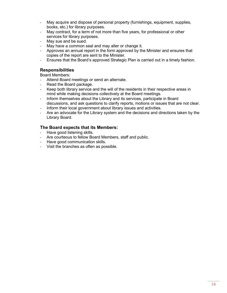- May acquire and dispose of personal property (furnishings, equipment, supplies, books, etc.) for library purposes.
- May contract, for a term of not more than five years, for professional or other services for library purposes.
- May sue and be sued.
- May have a common seal and may alter or change it.
- Approves an annual report in the form approved by the Minister and ensures that copies of the report are sent to the Minister.
- Ensures that the Board's approved Strategic Plan is carried out in a timely fashion.

### **Responsibilities**

Board Members:

- Attend Board meetings or send an alternate.
- Read the Board package.
- Keep both library service and the will of the residents in their respective areas in mind while making decisions collectively at the Board meetings.
- Inform themselves about the Library and its services, participate in Board discussions, and ask questions to clarify reports, motions or issues that are not clear.
- Inform their local government about library issues and activities.
- Are an advocate for the Library system and the decisions and directions taken by the Library Board.

#### **The Board expects that its Members:**

- Have good listening skills.
- Are courteous to fellow Board Members, staff and public.
- Have good communication skills.
- Visit the branches as often as possible.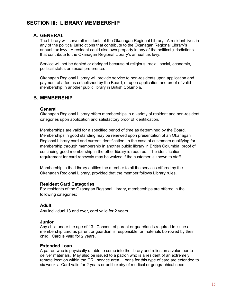# **SECTION III: LIBRARY MEMBERSHIP**

# **A. GENERAL**

The Library will serve all residents of the Okanagan Regional Library. A resident lives in any of the political jurisdictions that contribute to the Okanagan Regional Library's annual tax levy. A resident could also own property in any of the political jurisdictions that contribute to the Okanagan Regional Library's annual tax levy.

Service will not be denied or abridged because of religious, racial, social, economic, political status or sexual preference.

Okanagan Regional Library will provide service to non-residents upon application and payment of a fee as established by the Board, or upon application and proof of valid membership in another public library in British Columbia.

# **B. MEMBERSHIP**

#### **General**

Okanagan Regional Library offers memberships in a variety of resident and non-resident categories upon application and satisfactory proof of identification.

Memberships are valid for a specified period of time as determined by the Board. Memberships in good standing may be renewed upon presentation of an Okanagan Regional Library card and current identification. In the case of customers qualifying for membership through membership in another public library in British Columbia, proof of continuing good membership in the other library is required. The identification requirement for card renewals may be waived if the customer is known to staff.

Membership in the Library entitles the member to all the services offered by the Okanagan Regional Library, provided that the member follows Library rules.

# **Resident Card Categories**

For residents of the Okanagan Regional Library, memberships are offered in the following categories:

# **Adult**

Any individual 13 and over, card valid for 2 years.

#### **Junior**

Any child under the age of 13. Consent of parent or guardian is required to issue a membership card as parent or guardian is responsible for materials borrowed by their child. Card is valid for 2 years.

# **Extended Loan**

A patron who is physically unable to come into the library and relies on a volunteer to deliver materials. May also be issued to a patron who is a resident of an extremely remote location within the ORL service area. Loans for this type of card are extended to six weeks. Card valid for 2 years or until expiry of medical or geographical need.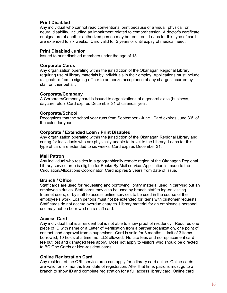# **Print Disabled**

Any individual who cannot read conventional print because of a visual, physical, or neural disability, including an impairment related to comprehension. A doctor's certificate or signature of another authorized person may be required. Loans for this type of card are extended to six weeks. Card valid for 2 years or until expiry of medical need.

#### **Print Disabled Junior**

Issued to print disabled members under the age of 13.

#### **Corporate Cards**

Any organization operating within the jurisdiction of the Okanagan Regional Library requiring use of library materials by individuals in their employ. Applications must include a signature from a signing officer to authorize acceptance of any charges incurred by staff on their behalf.

#### **Corporate/Company**

A Corporate/Company card is issued to organizations of a general class (business, daycare, etc.) Card expires December 31 of calendar year.

#### **Corporate/School**

Recognizes that the school year runs from September - June. Card expires June  $30<sup>th</sup>$  of the calendar year.

#### **Corporate / Extended Loan / Print Disabled**

Any organization operating within the jurisdiction of the Okanagan Regional Library and caring for individuals who are physically unable to travel to the Library. Loans for this type of card are extended to six weeks. Card expires December 31.

#### **Mail Patron**

Any individual who resides in a geographically remote region of the Okanagan Regional Library service area is eligible for Books-By-Mail service. Application is made to the Circulation/Allocations Coordinator. Card expires 2 years from date of issue.

#### **Branch / Office**

Staff cards are used for requesting and borrowing library material used in carrying out an employee's duties. Staff cards may also be used by branch staff to log-on visiting Internet users, or by staff to access online services to be used in the course of the employee's work. Loan periods must not be extended for items with customer requests. Staff cards do not accrue overdue charges. Library material for an employee's personal use may not be borrowed on a staff card.

#### **Access Card**

Any individual that is a resident but is not able to show proof of residency. Requires one piece of ID with name or a Letter of Verification from a partner organization, one point of contact, and approval from a supervisor. Card is valid for 3 months. Limit of 3 items borrowed, 10 holds at a time; no ILLS allowed. No late fees and no replacement card fee but lost and damaged fees apply. Does not apply to visitors who should be directed to BC One Cards or Non-resident cards.

#### **Online Registration Card**

Any resident of the ORL service area can apply for a library card online. Online cards are valid for six months from date of registration. After that time, patrons must go to a branch to show ID and complete registration for a full access library card. Online card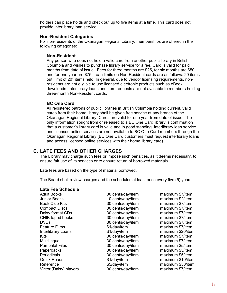holders can place holds and check out up to five items at a time. This card does not provide interlibrary loan service.

#### **Non-Resident Categories**

For non-residents of the Okanagan Regional Library, memberships are offered in the following categories:

#### **Non-Resident**

Any person who does not hold a valid card from another public library in British Columbia and wishes to purchase library service for a fee. Card is valid for paid months from date of issue. Fees for three months are \$25, for six months are \$50, and for one year are \$75. Loan limits on Non-Resident cards are as follows: 20 items out, limit of 20\* items held. In general, due to vendor licensing requirements, nonresidents are not eligible to use licensed electronic products such as eBook downloads. Interlibrary loans and item requests are not available to members holding three-month Non-Resident cards.

#### **BC One Card**

All registered patrons of public libraries in British Columbia holding current, valid cards from their home library shall be given free service at any branch of the Okanagan Regional Library. Cards are valid for one year from date of issue. The only information sought from or released to a BC One Card library is confirmation that a customer's library card is valid and in good standing. Interlibrary loan service and licensed online services are not available to BC One Card members through the Okanagan Regional Library (BC One Card customers must request interlibrary loans and access licensed online services with their home library card).

# **C. LATE FEES AND OTHER CHARGES**

The Library may charge such fees or impose such penalties, as it deems necessary, to ensure fair use of its services or to ensure return of borrowed materials.

Late fees are based on the type of material borrowed.

The Board shall review charges and fee schedules at least once every five (5) years.

# **Late Fee Schedule**

Junior Books 10 cents/day/item maximum \$2/item Book Club Kits 30 cents/day/item maximum \$7/item Compact Discs 30 cents/day/item maximum \$7/item Daisy format CDs 30 cents/day/item CNIB taped books 30 cents/day/item maximum \$7/item DVDs 30 cents/day/item maximum \$7/item Feature Films \$1/day/item maximum \$7/item Interlibrary Loans **\$1/day/item** \$1/day for maximum \$20/item Kits 30 cents/day/item maximum \$7/item Multilingual 30 cents/day/item maximum \$7/item Pamphlet Files 30 cents/day/item maximum \$5/item Periodicals 30 cents/day/item maximum \$5/item Quick Reads \$1/day/item maximum \$10/item Reference **\$5/day/item** maximum \$50/item Victor (Daisy) players 30 cents/day/item maximum \$7/item

30 cents/day/item maximum \$7/item 30 cents/day/item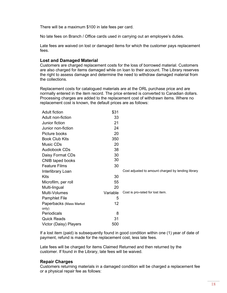There will be a maximum \$100 in late fees per card.

No late fees on Branch / Office cards used in carrying out an employee's duties.

Late fees are waived on lost or damaged items for which the customer pays replacement fees.

#### **Lost and Damaged Material**

Customers are charged replacement costs for the loss of borrowed material. Customers are also charged for items damaged while on loan to their account. The Library reserves the right to assess damage and determine the need to withdraw damaged material from the collections.

Replacement costs for catalogued materials are at the ORL purchase price and are normally entered in the item record. The price entered is converted to Canadian dollars. Processing charges are added to the replacement cost of withdrawn items. Where no replacement cost is known, the default prices are as follows:

| <b>Adult fiction</b>    | \$31     |                                                    |
|-------------------------|----------|----------------------------------------------------|
| Adult non-fiction       | 33       |                                                    |
| Junior fiction          | 21       |                                                    |
| Junior non-fiction      | 24       |                                                    |
| Picture books           | 20       |                                                    |
| <b>Book Club Kits</b>   | 350      |                                                    |
| Music CDs               | 20       |                                                    |
| <b>Audiobook CDs</b>    | 38       |                                                    |
| Daisy Format CDs        | 30       |                                                    |
| CNIB taped books        | 30       |                                                    |
| <b>Feature Films</b>    | 30       |                                                    |
|                         |          |                                                    |
| Interlibrary Loan       |          | Cost adjusted to amount charged by lending library |
| Kits                    | 30       |                                                    |
| Microfilm, per roll     | 55       |                                                    |
| Multi-lingual           | 20       |                                                    |
| Multi-Volumes           | Variable | Cost is pro-rated for lost item.                   |
| <b>Pamphlet File</b>    | 5        |                                                    |
| Paperbacks (Mass Market | 12       |                                                    |
| only)                   |          |                                                    |
| Periodicals             | 8        |                                                    |
| <b>Quick Reads</b>      | 31       |                                                    |

If a lost item (paid) is subsequently found in good condition within one (1) year of date of payment, refund is made for the replacement cost, less late fees.

Late fees will be charged for items Claimed Returned and then returned by the customer. If found in the Library, late fees will be waived.

#### **Repair Charges**

Customers returning materials in a damaged condition will be charged a replacement fee or a physical repair fee as follows: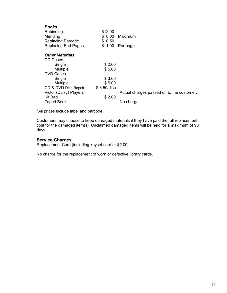| <b>Books</b>               |             |                                           |
|----------------------------|-------------|-------------------------------------------|
| Rebinding                  | \$12.00     |                                           |
| Mending                    | \$8.00      | Maximum                                   |
| <b>Replacing Barcode</b>   | \$0.50      |                                           |
| <b>Replacing End Pages</b> | \$<br>1.00  | Per page                                  |
| <b>Other Materials</b>     |             |                                           |
| CD Cases                   |             |                                           |
| Single                     | \$2.00      |                                           |
| <b>Multiple</b>            | \$5.00      |                                           |
| <b>DVD Cases</b>           |             |                                           |
| Single                     | \$3.00      |                                           |
| Multiple                   | \$5.00      |                                           |
| CD & DVD Disc Repair       | \$3.50/disc |                                           |
| Victor (Daisy) Players     |             | Actual charges passed on to the customer. |
| Kit Bag                    | \$2.00      |                                           |
| <b>Taped Book</b>          |             | No charge                                 |

\*All prices include label and barcode.

Customers may choose to keep damaged materials if they have paid the full replacement cost for the damaged item(s). Unclaimed damaged items will be held for a maximum of 90 days.

#### **Service Charges**

Replacement Card (including keyset card) = \$2.00

No charge for the replacement of worn or defective library cards.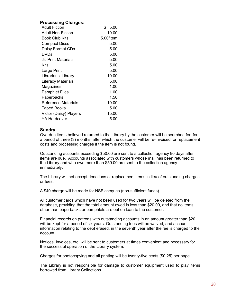# **Processing Charges:**

| <b>Adult Fiction</b>       | \$<br>5.00 |
|----------------------------|------------|
| <b>Adult Non-Fiction</b>   | 10.00      |
| Book Club Kits             | 5.00/item  |
| <b>Compact Discs</b>       | 5.00       |
| Daisy Format CDs           | 5.00       |
| <b>DVDs</b>                | 5.00       |
| Jr. Print Materials        | 5.00       |
| Kits                       | 5.00       |
| Large Print                | 5.00       |
| Librarians' Library        | 10.00      |
| Literacy Materials         | 5.00       |
| Magazines                  | 1.00       |
| <b>Pamphlet Files</b>      | 1.00       |
| Paperbacks                 | 1.50       |
| <b>Reference Materials</b> | 10.00      |
| Taped Books                | 5.00       |
| Victor (Daisy) Players     | 15.00      |
| <b>YA Hardcover</b>        | 5.00       |

#### **Sundry**

Overdue items believed returned to the Library by the customer will be searched for, for a period of three (3) months, after which the customer will be re-invoiced for replacement costs and processing charges if the item is not found.

Outstanding accounts exceeding \$50.00 are sent to a collection agency 90 days after items are due. Accounts associated with customers whose mail has been returned to the Library and who owe more than \$50.00 are sent to the collection agency immediately.

The Library will not accept donations or replacement items in lieu of outstanding charges or fees.

A \$40 charge will be made for NSF cheques (non-sufficient funds).

All customer cards which have not been used for two years will be deleted from the database, providing that the total amount owed is less than \$20.00, and that no items other than paperbacks or pamphlets are out on loan to the customer.

Financial records on patrons with outstanding accounts in an amount greater than \$20 will be kept for a period of six years. Outstanding fees will be waived, and account information relating to the debt erased, in the seventh year after the fee is charged to the account.

Notices, invoices, etc. will be sent to customers at times convenient and necessary for the successful operation of the Library system.

Charges for photocopying and all printing will be twenty-five cents (\$0.25) per page.

The Library is not responsible for damage to customer equipment used to play items borrowed from Library Collections.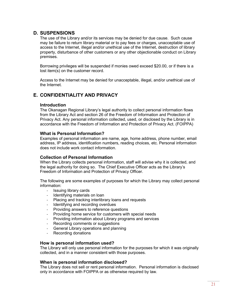# **D. SUSPENSIONS**

The use of the Library and/or its services may be denied for due cause. Such cause may be failure to return library material or to pay fees or charges, unacceptable use of access to the Internet, illegal and/or unethical use of the Internet, destruction of library property, disturbance of other customers or any other objectionable conduct on Library premises.

Borrowing privileges will be suspended if monies owed exceed \$20.00, or if there is a lost item(s) on the customer record.

Access to the Internet may be denied for unacceptable, illegal, and/or unethical use of the Internet.

# **E. CONFIDENTIALITY AND PRIVACY**

#### **Introduction**

The Okanagan Regional Library's legal authority to collect personal information flows from the Library Act and section 26 of the Freedom of Information and Protection of Privacy Act. Any personal information collected, used, or disclosed by the Library is in accordance with the Freedom of Information and Protection of Privacy Act. (FOIPPA)

#### **What is Personal Information?**

Examples of personal information are name, age, home address, phone number, email address, IP address, identification numbers, reading choices, etc. Personal information does not include work contact information.

#### **Collection of Personal Information**

When the Library collects personal information, staff will advise why it is collected, and the legal authority for doing so. The Chief Executive Officer acts as the Library's Freedom of Information and Protection of Privacy Officer.

The following are some examples of purposes for which the Library may collect personal information:

- Issuing library cards
- Identifying materials on loan
- Placing and tracking interlibrary loans and requests
- Identifying and recording overdues
- Providing answers to reference questions
- Providing home service for customers with special needs<br>- Providing information about Library programs and service
- Providing information about Library programs and services
- Recording comments or suggestions
- General Library operations and planning
- Recording donations

#### **How is personal information used?**

The Library will only use personal information for the purposes for which it was originally collected, and in a manner consistent with those purposes.

#### **When is personal information disclosed?**

The Library does not sell or rent personal information. Personal information is disclosed only in accordance with FOIPPA or as otherwise required by law.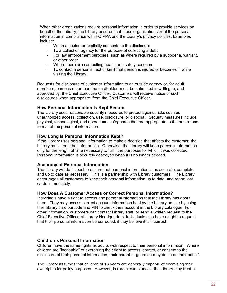When other organizations require personal information in order to provide services on behalf of the Library, the Library ensures that these organizations treat the personal information in compliance with FOIPPA and the Library's privacy policies. Examples include:

- When a customer explicitly consents to the disclosure
- To a collection agency for the purpose of collecting a debt
- For law enforcement purposes, such as where required by a subpoena, warrant, or other order
- Where there are compelling health and safety concerns
- To contact a person's next of kin if that person is injured or becomes ill while visiting the Library.

Requests for disclosure of customer information to an outside agency or, for adult members, persons other than the cardholder, must be submitted in writing to, and approved by, the Chief Executive Officer. Customers will receive notice of such disclosures when appropriate, from the Chief Executive Officer.

#### **How Personal Information Is Kept Secure**

The Library uses reasonable security measures to protect against risks such as unauthorized access, collection, use, disclosure, or disposal. Security measures include physical, technological, and operational safeguards that are appropriate to the nature and format of the personal information.

#### **How Long Is Personal Information Kept?**

If the Library uses personal information to make a decision that affects the customer, the Library must keep that information. Otherwise, the Library will keep personal information only for the length of time necessary to fulfill the purposes for which it was collected. Personal information is securely destroyed when it is no longer needed.

#### **Accuracy of Personal Information**

The Library will do its best to ensure that personal information is as accurate, complete, and up to date as necessary. This is a partnership with Library customers. The Library encourages all customers to keep their personal information up to date, and report lost cards immediately.

# **How Does A Customer Access or Correct Personal Information?**

Individuals have a right to access any personal information that the Library has about them. They may access current account information held by the Library on-line by using their library card barcode and PIN to check their account in the Library catalogue. For other information, customers can contact Library staff, or send a written request to the Chief Executive Officer, at Library Headquarters. Individuals also have a right to request that their personal information be corrected, if they believe it is incorrect.

# **Children's Personal Information**

Children have the same rights as adults with respect to their personal information. Where children are "incapable" of exercising their right to access, correct, or consent to the disclosure of their personal information, their parent or guardian may do so on their behalf.

The Library assumes that children of 13 years are generally capable of exercising their own rights for policy purposes. However, in rare circumstances, the Library may treat a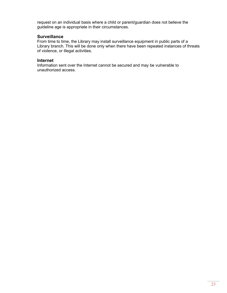request on an individual basis where a child or parent/guardian does not believe the guideline age is appropriate in their circumstances.

#### **Surveillance**

From time to time, the Library may install surveillance equipment in public parts of a Library branch. This will be done only when there have been repeated instances of threats of violence, or illegal activities.

#### **Internet**

Information sent over the Internet cannot be secured and may be vulnerable to unauthorized access.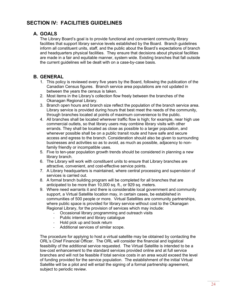# **SECTION IV: FACILITIES GUIDELINES**

# **A. GOALS**

The Library Board's goal is to provide functional and convenient community library facilities that support library service levels established by the Board. Branch guidelines inform all constituent units, staff, and the public about the Board's expectations of branch and headquarters physical facilities. They ensure that decisions about physical facilities are made in a fair and equitable manner, system wide. Existing branches that fall outside the current guidelines will be dealt with on a case-by-case basis.

# **B. GENERAL**

- 1. This policy is reviewed every five years by the Board, following the publication of the Canadian Census figures. Branch service area populations are not updated in between the years the census is taken.
- 2. Most items in the Library's collection flow freely between the branches of the Okanagan Regional Library.
- 3. Branch open hours and branch size reflect the population of the branch service area. Library service is provided during hours that best meet the needs of the community, through branches located at points of maximum convenience to the public.
- 4. All branches shall be located wherever traffic flow is high; for example, near high use commercial outlets, so that library users may combine library visits with other errands. They shall be located as close as possible to a larger population, and whenever possible shall be on a public transit route and have safe and secure access and egress to the branch. Consideration should also be given to surrounding businesses and activities so as to avoid, as much as possible, adjacency to nonfamily friendly or incompatible uses.
- 5. Five to ten-year population growth trends should be considered in planning a new library branch.
- 6. The Library will work with constituent units to ensure that Library branches are attractive, convenient, and cost-effective service points.
- 7. A Library headquarters is maintained, where central processing and supervision of services is carried out.
- 8. A formal branch building program will be completed for all branches that are anticipated to be more than 10,000 sq. ft., or 929 sq. meters.
- 9. Where need warrants it and there is considerable local government and community support, a Virtual Satellite location may, in certain cases, be established in communities of 500 people or more. Virtual Satellites are community partnerships, where public space is provided for library service without cost to the Okanagan Regional Library, for the provision of services which may include:
	- Occasional library programming and outreach visits
	- Public internet and library catalogue
	- Hold pick up and book return
	- Additional services of similar scope.

The procedure for applying to host a virtual satellite may be obtained by contacting the ORL's Chief Financial Officer. The ORL will consider the financial and logistical feasibility of the additional service requested. The Virtual Satellite is intended to be a low-cost enhancement to the standard services provided online and at full service branches and will not be feasible if total service costs in an area would exceed the level of funding provided for the service population. The establishment of the initial Virtual Satellite will be a pilot and will entail the signing of a formal partnership agreement, subject to periodic review.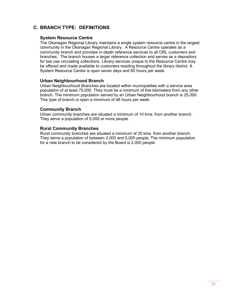# **C. BRANCH TYPE: DEFINITIONS**

#### **System Resource Centre**

The Okanagan Regional Library maintains a single system resource centre in the largest community in the Okanagan Regional Library. A Resource Centre operates as a community branch and provides in-depth reference services to all ORL customers and branches. The branch houses a larger reference collection and serves as a depository for low use circulating collections. Library services unique to the Resource Centre may be offered and made available to customers residing throughout the library district. A System Resource Centre is open seven days and 60 hours per week.

#### **Urban Neighbourhood Branch**

Urban Neighbourhood Branches are located within municipalities with a service area population of at least 75,000. They must be a minimum of five kilometers from any other branch. The minimum population served by an Urban Neighbourhood branch is 25,000. This type of branch is open a minimum of 48 hours per week.

#### **Community Branch**

Urban community branches are situated a minimum of 10 kms. from another branch. They serve a population of 5,000 or more people.

#### **Rural Community Branches**

Rural community branches are situated a minimum of 20 kms. from another branch. They serve a population of between 2,000 and 5,000 people. The minimum population for a new branch to be considered by the Board is 2,000 people.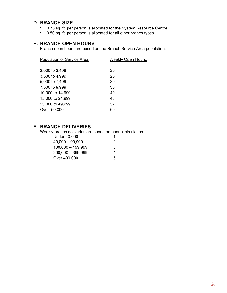# **D. BRANCH SIZE**

- 0.75 sq. ft. per person is allocated for the System Resource Centre.
- 0.50 sq. ft. per person is allocated for all other branch types.

# **E. BRANCH OPEN HOURS**

Branch open hours are based on the Branch Service Area population.

| Population of Service Area: | <b>Weekly Open Hours:</b> |
|-----------------------------|---------------------------|
|                             |                           |
| 2,000 to 3,499              | 20                        |
| 3,500 to 4,999              | 25                        |
| 5,000 to 7,499              | 30                        |
| 7,500 to 9,999              | 35                        |
| 10,000 to 14,999            | 40                        |
| 15,000 to 24,999            | 48                        |
| 25,000 to 49,999            | 52                        |
| Over 50,000                 | 60                        |
|                             |                           |

# **F. BRANCH DELIVERIES**

Weekly branch deliveries are based on annual circulation.

| <b>Under 40,000</b> |   |
|---------------------|---|
| $40,000 - 99,999$   | 2 |
| $100,000 - 199,999$ | 3 |
| $200,000 - 399,999$ | 4 |
| Over 400,000        | 5 |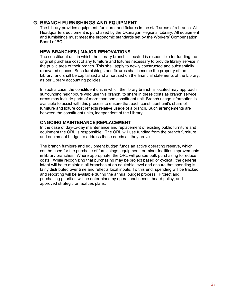# **G. BRANCH FURNISHINGS AND EQUIPMENT**

The Library provides equipment, furniture, and fixtures in the staff areas of a branch. All Headquarters equipment is purchased by the Okanagan Regional Library. All equipment and furnishings must meet the ergonomic standards set by the Workers' Compensation Board of BC.

# **NEW BRANCHES | MAJOR RENOVATIONS**

The constituent unit in which the Library branch is located is responsible for funding the original purchase cost of any furniture and fixtures necessary to provide library service in the public area of their branch. This shall apply to newly constructed and substantially renovated spaces. Such furnishings and fixtures shall become the property of the Library, and shall be capitalized and amortized on the financial statements of the Library, as per Library accounting policies.

In such a case, the constituent unit in which the library branch is located may approach surrounding neighbours who use this branch, to share in these costs as branch service areas may include parts of more than one constituent unit. Branch usage information is available to assist with this process to ensure that each constituent unit's share of furniture and fixture cost reflects relative usage of a branch. Such arrangements are between the constituent units, independent of the Library.

# **ONGOING MAINTENANCE|REPLACEMENT**

In the case of day-to-day maintenance and replacement of existing public furniture and equipment the ORL is responsible. The ORL will use funding from the branch furniture and equipment budget to address these needs as they arrive.

The branch furniture and equipment budget funds an active operating reserve, which can be used for the purchase of furnishings, equipment, or minor facilities improvements in library branches. Where appropriate, the ORL will pursue bulk purchasing to reduce costs. While recognizing that purchasing may be project based or cyclical, the general intent will be to maintain all branches at an equitable level and ensure that spending is fairly distributed over time and reflects local inputs. To this end, spending will be tracked and reporting will be available during the annual budget process. Project and purchasing priorities will be determined by operational needs, board policy, and approved strategic or facilities plans.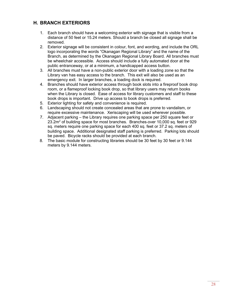# **H. BRANCH EXTERIORS**

- 1. Each branch should have a welcoming exterior with signage that is visible from a distance of 50 feet or 15.24 meters. Should a branch be closed all signage shall be removed.
- 2. Exterior signage will be consistent in colour, font, and wording, and include the ORL logo incorporating the words "Okanagan Regional Library" and the name of the Branch, as determined by the Okanagan Regional Library Board. All branches must be wheelchair accessible. Access should include a fully automated door at the public entranceway, or at a minimum, a handicapped access button.
- 3. All branches must have a non-public exterior door with a loading zone so that the Library van has easy access to the branch. This exit will also be used as an emergency exit. In larger branches, a loading dock is required.
- 4. Branches should have exterior access through book slots into a fireproof book drop room, or a flameproof locking book drop, so that library users may return books when the Library is closed. Ease of access for library customers and staff to these book drops is important. Drive up access to book drops is preferred.
- 5. Exterior lighting for safety and convenience is required.
- 6. Landscaping should not create concealed areas that are prone to vandalism, or require excessive maintenance. Xeriscaping will be used wherever possible.
- 7. Adjacent parking the Library requires one parking space per 250 square feet or  $23.2m<sup>2</sup>$  of building space for most branches. Branches-over 10,000 sq. feet or 929 sq. meters require one parking space for each 400 sq. feet or 37.2 sq. meters of building space. Additional designated staff parking is preferred. Parking lots should be paved. Bicycle racks should be provided at each branch.
- 8. The basic module for constructing libraries should be 30 feet by 30 feet or 9.144 meters by 9.144 meters.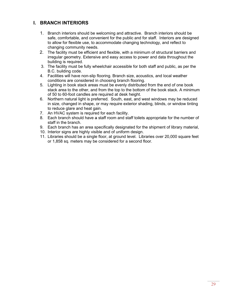# **I. BRANCH INTERIORS**

- 1. Branch interiors should be welcoming and attractive. Branch interiors should be safe, comfortable, and convenient for the public and for staff. Interiors are designed to allow for flexible use, to accommodate changing technology, and reflect to changing community needs.
- 2. The facility must be efficient and flexible, with a minimum of structural barriers and irregular geometry. Extensive and easy access to power and data throughout the building is required.
- 3. The facility must be fully wheelchair accessible for both staff and public, as per the B.C. building code.
- 4. Facilities will have non-slip flooring. Branch size, acoustics, and local weather conditions are considered in choosing branch flooring.
- 5. Lighting in book stack areas must be evenly distributed from the end of one book stack area to the other, and from the top to the bottom of the book stack. A minimum of 50 to 60-foot candles are required at desk height.
- 6. Northern natural light is preferred. South, east, and west windows may be reduced in size, changed in shape, or may require exterior shading, blinds, or window tinting to reduce glare and heat gain.
- 7. An HVAC system is required for each facility.
- 8. Each branch should have a staff room and staff toilets appropriate for the number of staff in the branch.
- 9. Each branch has an area specifically designated for the shipment of library material,
- 10. Interior signs are highly visible and of uniform design.
- 11. Libraries should be a single floor, at ground level. Libraries over 20,000 square feet or 1,858 sq. meters may be considered for a second floor.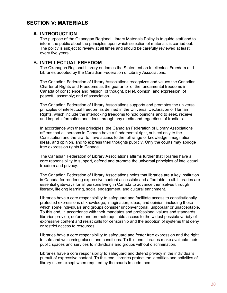# **SECTION V: MATERIALS**

# **A. INTRODUCTION**

The purpose of the Okanagan Regional Library Materials Policy is to guide staff and to inform the public about the principles upon which selection of materials is carried out. The policy is subject to review at all times and should be carefully reviewed at least every five years.

### **B. INTELLECTUAL FREEDOM**

The Okanagan Regional Library endorses the Statement on Intellectual Freedom and Libraries adopted by the Canadian Federation of Library Associations.

The Canadian Federation of Library Associations recognizes and values the Canadian Charter of Rights and Freedoms as the guarantor of the fundamental freedoms in Canada of conscience and religion; of thought, belief, opinion, and expression; of peaceful assembly; and of association.

The Canadian Federation of Library Associations supports and promotes the universal principles of intellectual freedom as defined in the Universal Declaration of Human Rights, which include the interlocking freedoms to hold opinions and to seek, receive and impart information and ideas through any media and regardless of frontiers.

In accordance with these principles, the Canadian Federation of Library Associations affirms that all persons in Canada have a fundamental right, subject only to the Constitution and the law, to have access to the full range of knowledge, imagination, ideas, and opinion, and to express their thoughts publicly. Only the courts may abridge free expression rights in Canada.

The Canadian Federation of Library Associations affirms further that libraries have a core responsibility to support, defend and promote the universal principles of intellectual freedom and privacy.

The Canadian Federation of Library Associations holds that libraries are a key institution in Canada for rendering expressive content accessible and affordable to all. Libraries are essential gateways for all persons living in Canada to advance themselves through literacy, lifelong learning, social engagement, and cultural enrichment.

Libraries have a core responsibility to safeguard and facilitate access to constitutionally protected expressions of knowledge, imagination, ideas, and opinion, including those which some individuals and groups consider unconventional, unpopular or unacceptable. To this end, in accordance with their mandates and professional values and standards, libraries provide, defend and promote equitable access to the widest possible variety of expressive content and resist calls for censorship and the adoption of systems that deny or restrict access to resources.

Libraries have a core responsibility to safeguard and foster free expression and the right to safe and welcoming places and conditions. To this end, libraries make available their public spaces and services to individuals and groups without discrimination.

Libraries have a core responsibility to safeguard and defend privacy in the individual's pursuit of expressive content. To this end, libraries protect the identities and activities of library users except when required by the courts to cede them.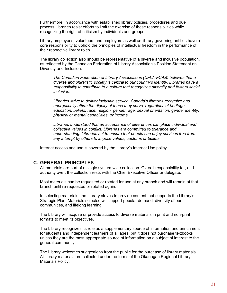Furthermore, in accordance with established library policies, procedures and due process, libraries resist efforts to limit the exercise of these responsibilities while recognizing the right of criticism by individuals and groups.

Library employees, volunteers and employers as well as library governing entities have a core responsibility to uphold the principles of intellectual freedom in the performance of their respective library roles.

The library collection also should be representative of a diverse and inclusive population, as reflected by the Canadian Federation of Library Association's Position Statement on Diversity and Inclusion:

*The Canadian Federation of Library Associations (CFLA-FCAB) believes that a diverse and pluralistic society is central to our country's identity. Libraries have a responsibility to contribute to a culture that recognizes diversity and fosters social inclusion.*

*Libraries strive to deliver inclusive service. Canada's libraries recognize and energetically affirm the dignity of those they serve, regardless of heritage, education, beliefs, race, religion, gender, age, sexual orientation, gender identity, physical or mental capabilities, or income.*

*Libraries understand that an acceptance of differences can place individual and collective values in conflict. Libraries are committed to tolerance and understanding. Libraries act to ensure that people can enjoy services free from any attempt by others to impose values, customs or beliefs.*

Internet access and use is covered by the Library's Internet Use policy

#### **C. GENERAL PRINCIPLES**

All materials are part of a single system-wide collection. Overall responsibility for, and authority over, the collection rests with the Chief Executive Officer or delegate.

Most materials can be requested or rotated for use at any branch and will remain at that branch until re-requested or rotated again.

In selecting materials, the Library strives to provide content that supports the Library's Strategic Plan. Materials selected will support popular demand, diversity of our communities, and lifelong learning

The Library will acquire or provide access to diverse materials in print and non-print formats to meet its objectives.

The Library recognizes its role as a supplementary source of information and enrichment for students and independent learners of all ages, but it does not purchase textbooks unless they are the most appropriate source of information on a subject of interest to the general community.

The Library welcomes suggestions from the public for the purchase of library materials. All library materials are collected under the terms of the Okanagan Regional Library Materials Policy.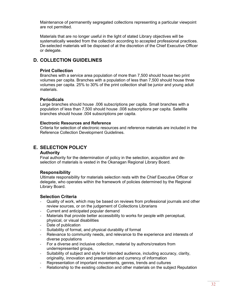Maintenance of permanently segregated collections representing a particular viewpoint are not permitted.

Materials that are no longer useful in the light of stated Library objectives will be systematically weeded from the collection according to accepted professional practices. De-selected materials will be disposed of at the discretion of the Chief Executive Officer or delegate.

# **D. COLLECTION GUIDELINES**

### **Print Collection**

Branches with a service area population of more than 7,500 should house two print volumes per capita. Branches with a population of less than 7,500 should house three volumes per capita. 25% to 30% of the print collection shall be junior and young adult materials.

# **Periodicals**

Large branches should house .006 subscriptions per capita. Small branches with a population of less than 7,500 should house .008 subscriptions per capita. Satellite branches should house .004 subscriptions per capita.

#### **Electronic Resources and Reference**

Criteria for selection of electronic resources and reference materials are included in the Reference Collection Development Guidelines.

# **E. SELECTION POLICY**

#### **Authority**

Final authority for the determination of policy in the selection, acquisition and deselection of materials is vested in the Okanagan Regional Library Board.

#### **Responsibility**

Ultimate responsibility for materials selection rests with the Chief Executive Officer or delegate, who operates within the framework of policies determined by the Regional Library Board.

#### **Selection Criteria**

- Quality of work, which may be based on reviews from professional journals and other review sources, or on the judgement of Collections Librarians
- Current and anticipated popular demand
- Materials that provide better accessibility to works for people with perceptual, physical, or visual disabilities
- Date of publication
- Suitability of format, and physical durability of format
- Relevance to community needs, and relevance to the experience and interests of diverse populations
- For a diverse and inclusive collection, material by authors/creators from underrepresented groups,
- Suitability of subject and style for intended audience, including accuracy, clarity, originality, innovation and presentation and currency of information
- Representation of important movements, genres, trends and cultures
- Relationship to the existing collection and other materials on the subject Reputation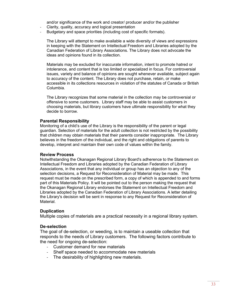and/or significance of the work and creator/ producer and/or the publisher

- Clarity, quality, accuracy and logical presentation
- Budgetary and space priorities (including cost of specific formats).

The Library will attempt to make available a wide diversity of views and expressions in keeping with the Statement on Intellectual Freedom and Libraries adopted by the Canadian Federation of Library Associations. The Library does not advocate the ideas and opinions found in its collection.

Materials may be excluded for inaccurate information, intent to promote hatred or intolerance, and content that is too limited or specialized in focus. For controversial issues, variety and balance of opinions are sought whenever available, subject again to accuracy of the content. The Library does not purchase, retain, or make accessible in its collections resources in violation of the statutes of Canada or British Columbia.

The Library recognizes that some material in the collection may be controversial or offensive to some customers. Library staff may be able to assist customers in choosing materials, but library customers have ultimate responsibility for what they decide to borrow.

#### **Parental Responsibility**

Monitoring of a child's use of the Library is the responsibility of the parent or legal guardian. Selection of materials for the adult collection is not restricted by the possibility that children may obtain materials that their parents consider inappropriate. The Library believes in the freedom of the individual, and the right and obligations of parents to develop, interpret and maintain their own code of values within the family.

#### **Review Process**

Notwithstanding the Okanagan Regional Library Board's adherence to the Statement on Intellectual Freedom and Libraries adopted by the Canadian Federation of Library Associations, in the event that any individual or group has an objection to any of the selection decisions, a Request for Reconsideration of Material may be made. This request must be made on the prescribed form, a copy of which is appended to and forms part of this Materials Policy. It will be pointed out to the person making the request that the Okanagan Regional Library endorses the Statement on Intellectual Freedom and Libraries adopted by the Canadian Federation of Library Associations. A letter detailing the Library's decision will be sent in response to any Request for Reconsideration of Material.

#### **Duplication**

Multiple copies of materials are a practical necessity in a regional library system.

#### **De-selection**

The goal of de-selection, or weeding, is to maintain a useable collection that responds to the needs of Library customers. The following factors contribute to the need for ongoing de-selection:

- Customer demand for new materials
- Shelf space needed to accommodate new materials
- The desirability of highlighting new materials.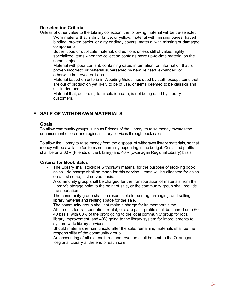# **De-selection Criteria**

Unless of other value to the Library collection, the following material will be de-selected:

- Worn material that is dirty, brittle, or yellow; material with missing pages, frayed binding, broken backs, or dirty or dingy covers; material with missing or damaged components
- Superfluous or duplicate material; old editions unless still of value; highly specialized items when the collection contains more up-to-date material on the same subject
- Material with poor content: containing dated information, or information that is proven incorrect; or material superseded by new, revised, expanded, or otherwise improved editions
- Material based on criteria in Weeding Guidelines used by staff, except items that are out of production yet likely to be of use, or items deemed to be classics and still in demand
- Material that, according to circulation data, is not being used by Library customers.

# **F. SALE OF WITHDRAWN MATERIALS**

#### **Goals**

To allow community groups, such as Friends of the Library, to raise money towards the enhancement of local and regional library services through book sales.

To allow the Library to raise money from the disposal of withdrawn library materials, so that money will be available for items not normally appearing in the budget. Costs and profits shall be on a 60% (Friends of the Library) and 40% (Okanagan Regional Library) basis.

# **Criteria for Book Sales**

- The Library shall stockpile withdrawn material for the purpose of stocking book sales. No charge shall be made for this service. Items will be allocated for sales on a first come, first served basis.
- A community group shall be charged for the transportation of materials from the Library's storage point to the point of sale, or the community group shall provide transportation.
- The community group shall be responsible for sorting, arranging, and selling library material and renting space for the sale.
- The community group shall not make a charge for its members' time.
- After costs for transportation, rental, etc. are paid, profits shall be shared on a 60- 40 basis, with 60% of the profit going to the local community group for local library improvement, and 40% going to the library system for improvements to system-wide library services.
- Should materials remain unsold after the sale, remaining materials shall be the responsibility of the community group.
- An accounting of all expenditures and revenue shall be sent to the Okanagan Regional Library at the end of each sale.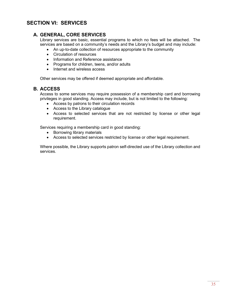# **SECTION VI: SERVICES**

# **A. GENERAL, CORE SERVICES**

Library services are basic, essential programs to which no fees will be attached. The services are based on a community's needs and the Library's budget and may include:

- An up-to-date collection of resources appropriate to the community
- Circulation of resources
- Information and Reference assistance
- Programs for children, teens, and/or adults
- Internet and wireless access

Other services may be offered if deemed appropriate and affordable.

# **B. ACCESS**

Access to some services may require possession of a membership card and borrowing privileges in good standing. Access may include, but is not limited to the following:

- Access by patrons to their circulation records
- Access to the Library catalogue
- Access to selected services that are not restricted by license or other legal requirement.

Services requiring a membership card in good standing:

- Borrowing library materials
- Access to selected services restricted by license or other legal requirement.

Where possible, the Library supports patron self-directed use of the Library collection and services.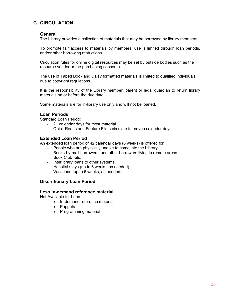# **C. CIRCULATION**

#### **General**

The Library provides a collection of materials that may be borrowed by library members.

To promote fair access to materials by members, use is limited through loan periods, and/or other borrowing restrictions.

Circulation rules for online digital resources may be set by outside bodies such as the resource vendor or the purchasing consortia.

The use of Taped Book and Daisy formatted materials is limited to qualified individuals due to copyright regulations.

It is the responsibility of the Library member, parent or legal guardian to return library materials on or before the due date.

Some materials are for in-library use only and will not be loaned.

#### **Loan Periods**

Standard Loan Period:

- 21 calendar days for most material.
- Quick Reads and Feature Films circulate for seven calendar days.

#### **Extended Loan Period**

An extended loan period of 42 calendar days (6 weeks) is offered for:

- People who are physically unable to come into the Library.
- Books-by-mail borrowers, and other borrowers living in remote areas.
- Book Club Kits.
- Interlibrary loans to other systems.
- Hospital stays (up to 6 weeks, as needed).
- Vacations (up to 6 weeks, as needed).

#### **Discretionary Loan Period**

#### **Less in-demand reference material**

Not Available for Loan:

- In-demand reference material
- Puppets
- Programming material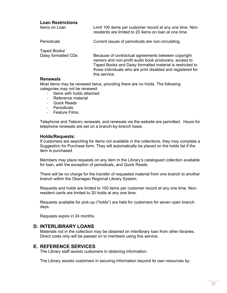#### **Loan Restrictions**

| Items on Loan       | Limit 100 items per customer record at any one time. Non-<br>residents are limited to 20 items on loan at one time.                                                                                                                                       |
|---------------------|-----------------------------------------------------------------------------------------------------------------------------------------------------------------------------------------------------------------------------------------------------------|
| Periodicals         | Current issues of periodicals are non-circulating.                                                                                                                                                                                                        |
| Taped Books/        |                                                                                                                                                                                                                                                           |
| Daisy formatted CDs | Because of contractual agreements between copyright<br>owners and non-profit audio book producers, access to<br>Taped Books and Daisy formatted material is restricted to<br>those individuals who are print disabled and registered for<br>this service. |
| <b>Donovicle</b>    |                                                                                                                                                                                                                                                           |

#### **Renewals**

Most items may be renewed twice, providing there are no holds. The following categories may not be renewed:

- Items with holds attached
- Reference material
- Quick Reads
- **Periodicals**
- Feature Films.

Telephone and Telecirc renewals, and renewals via the website are permitted. Hours for telephone renewals are set on a branch-by-branch basis.

#### **Holds/Requests:**

If customers are searching for items not available in the collections, they may complete a Suggestion for Purchase form. They will automatically be placed on the holds list if the item is purchased.

Members may place requests on any item in the Library's catalogued collection available for loan, with the exception of periodicals, and Quick Reads.

There will be no charge for the transfer of requested material from one branch to another branch within the Okanagan Regional Library System.

Requests and holds are limited to 100 items per customer record at any one time. Nonresident cards are limited to 20 holds at any one time.

Requests available for pick-up ("holds") are held for customers for seven open branch days.

Requests expire in 24 months.

#### **D. INTERLIBRARY LOANS**

Materials not in the collection may be obtained on interlibrary loan from other libraries. Direct costs only will be passed on to members using this service.

# **E. REFERENCE SERVICES**

The Library staff assists customers in obtaining information.

The Library assists customers in securing information beyond its own resources by: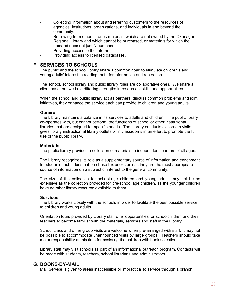- Collecting information about and referring customers to the resources of agencies, institutions, organizations, and individuals in and beyond the community.
- Borrowing from other libraries materials which are not owned by the Okanagan Regional Library and which cannot be purchased, or materials for which the demand does not justify purchase.
- Providing access to the Internet.
- Providing access to licensed databases.

# **F. SERVICES TO SCHOOLS**

The public and the school library share a common goal: to stimulate children's and young adults' interest in reading, both for information and recreation.

The school, school library and public library roles are collaborative ones. We share a client base, but we hold differing strengths in resources, skills and opportunities.

When the school and public library act as partners, discuss common problems and joint initiatives, they enhance the service each can provide to children and young adults.

#### **General**

The Library maintains a balance in its services to adults and children. The public library co-operates with, but cannot perform, the functions of school or other institutional libraries that are designed for specific needs. The Library conducts classroom visits, gives library instruction at library outlets or in classrooms in an effort to promote the full use of the public library.

#### **Materials**

The public library provides a collection of materials to independent learners of all ages.

The Library recognizes its role as a supplementary source of information and enrichment for students, but it does not purchase textbooks unless they are the most appropriate source of information on a subject of interest to the general community.

The size of the collection for school-age children and young adults may not be as extensive as the collection provided for pre-school age children, as the younger children have no other library resource available to them.

#### **Services**

The Library works closely with the schools in order to facilitate the best possible service to children and young adults.

Orientation tours provided by Library staff offer opportunities for schoolchildren and their teachers to become familiar with the materials, services and staff in the Library.

School class and other group visits are welcome when pre-arranged with staff. It may not be possible to accommodate unannounced visits by large groups. Teachers should take major responsibility at this time for assisting the children with book selection.

Library staff may visit schools as part of an informational outreach program. Contacts will be made with students, teachers, school librarians and administrators.

# **G. BOOKS-BY-MAIL**

Mail Service is given to areas inaccessible or impractical to service through a branch.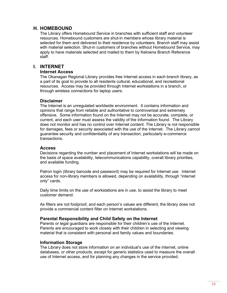# **H. HOMEBOUND**

The Library offers Homebound Service in branches with sufficient staff and volunteer resources. Homebound customers are shut-in members whose library material is selected for them and delivered to their residence by volunteers. Branch staff may assist with material selection. Shut-in customers of branches without Homebound Service, may apply to have materials selected and mailed to them by Kelowna Branch Reference staff.

# **I. INTERNET**

#### **Internet Access**

The Okanagan Regional Library provides free Internet access in each branch library, as a part of its goal to provide to all residents cultural, educational, and recreational resources. Access may be provided through Internet workstations in a branch, or through wireless connections for laptop users.

#### **Disclaimer**

The Internet is an unregulated worldwide environment. It contains information and opinions that range from reliable and authoritative to controversial and extremely offensive. Some information found on the Internet may not be accurate, complete, or current, and each user must assess the validity of the information found. The Library does not monitor and has no control over Internet content. The Library is not responsible for damages, fees or security associated with the use of the Internet. The Library cannot guarantee security and confidentiality of any transaction, particularly e-commerce transactions.

#### **Access**

Decisions regarding the number and placement of Internet workstations will be made on the basis of space availability, telecommunications capability, overall library priorities, and available funding.

Patron login (library barcode and password) may be required for Internet use. Internet access for non-library members is allowed, depending on availability, through "internet only" cards.

Daily time limits on the use of workstations are in use, to assist the library to meet customer demand.

As filters are not foolproof, and each person's values are different, the library does not provide a commercial content filter on Internet workstations.

#### **Parental Responsibility and Child Safety on the Internet**

Parents or legal guardians are responsible for their children's use of the Internet. Parents are encouraged to work closely with their children in selecting and viewing material that is consistent with personal and family values and boundaries.

#### **Information Storage**

The Library does not store information on an individual's use of the Internet, online databases, or other products, except for generic statistics used to measure the overall use of Internet access, and for planning any changes in the service provided.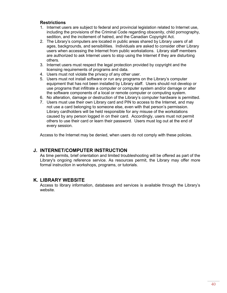# **Restrictions**

- 1. Internet users are subject to federal and provincial legislation related to Internet use, including the provisions of the Criminal Code regarding obscenity, child pornography, sedition, and the incitement of hatred, and the Canadian Copyright Act.
- 2. The Library's computers are located in public areas shared by Library users of all ages, backgrounds, and sensibilities. Individuals are asked to consider other Library users when accessing the Internet from public workstations. Library staff members are authorized to ask Internet users to stop using the Internet if they are disturbing others.
- 3. Internet users must respect the legal protection provided by copyright and the licensing requirements of programs and data.
- 4. Users must not violate the privacy of any other user.
- 5. Users must not install software or run any programs on the Library's computer equipment that has not been installed by Library staff. Users should not develop or use programs that infiltrate a computer or computer system and/or damage or alter the software components of a local or remote computer or computing system.
- 6. No alteration, damage or destruction of the Library's computer hardware is permitted.
- 7. Users must use their own Library card and PIN to access to the Internet, and may not use a card belonging to someone else, even with that person's permission. Library cardholders will be held responsible for any misuse of the workstations caused by any person logged in on their card. Accordingly, users must not permit others to use their card or learn their password. Users must log out at the end of every session.

Access to the Internet may be denied, when users do not comply with these policies.

# **J. INTERNET/COMPUTER INSTRUCTION**

As time permits, brief orientation and limited troubleshooting will be offered as part of the Library's ongoing reference service. As resources permit, the Library may offer more formal instruction in workshops, programs, or tutorials.

# **K. LIBRARY WEBSITE**

Access to library information, databases and services is available through the Library's website.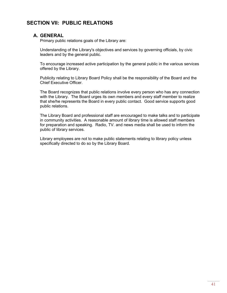# **SECTION VII: PUBLIC RELATIONS**

# **A. GENERAL**

Primary public relations goals of the Library are:

Understanding of the Library's objectives and services by governing officials, by civic leaders and by the general public.

To encourage increased active participation by the general public in the various services offered by the Library.

Publicity relating to Library Board Policy shall be the responsibility of the Board and the Chief Executive Officer.

The Board recognizes that public relations involve every person who has any connection with the Library. The Board urges its own members and every staff member to realize that she/he represents the Board in every public contact. Good service supports good public relations.

The Library Board and professional staff are encouraged to make talks and to participate in community activities. A reasonable amount of library time is allowed staff members for preparation and speaking. Radio, TV. and news media shall be used to inform the public of library services.

Library employees are not to make public statements relating to library policy unless specifically directed to do so by the Library Board.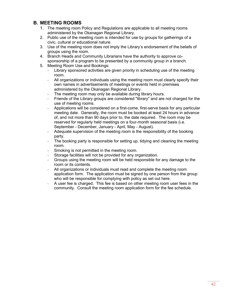# **B. MEETING ROOMS**

- 1. The meeting room Policy and Regulations are applicable to all meeting rooms administered by the Okanagan Regional Library.
- 2. Public use of the meeting room is intended for use by groups for gatherings of a civic, cultural or educational nature.
- 3. Use of the meeting room does not imply the Library's endorsement of the beliefs of groups using the room.
- 4. Branch Heads and Community Librarians have the authority to approve cosponsorship of a program to be presented by a community group in a branch.
- 5. Meeting Room Use and Bookings:
	- Library sponsored activities are given priority in scheduling use of the meeting room.
	- All organizations or individuals using the meeting room must clearly specify their own names in advertisements of meetings or events held in premises administered by the Okanagan Regional Library.
	- The meeting room may only be available during library hours.
	- Friends of the Library groups are considered "library" and are not charged for the use of meeting rooms.
	- Applications will be considered on a first-come, first-serve basis for any particular meeting date. Generally, the room must be booked at least 24 hours in advance of, and not more than 90 days prior to, the date required. The room may be reserved for regularly held meetings on a four-month seasonal basis (i.e. September - December, January - April, May - August).
	- Adequate supervision of the meeting room is the responsibility of the booking party.
	- The booking party is responsible for setting up, tidying and cleaning the meeting room.
	- Smoking is not permitted in the meeting room.
	- Storage facilities will not be provided for any organization.
	- Groups using the meeting room will be held responsible for any damage to the room or its contents.
	- All organizations or individuals must read and complete the meeting room application form. The application must be signed by one person from the group who will be responsible for complying with policy as set out here.
	- A user fee is charged. This fee is based on other meeting room user fees in the community. Consult the meeting room application form for the fee schedule.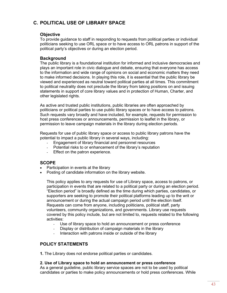# **C. POLITICAL USE OF LIBRARY SPACE**

# **Objective**

To provide guidance to staff in responding to requests from political parties or individual politicians seeking to use ORL space or to have access to ORL patrons in support of the political party's objectives or during an election period.

# **Background**

The public library is a foundational institution for informed and inclusive democracies and plays an important role in civic dialogue and debate, ensuring that everyone has access to the information and wide range of opinions on social and economic matters they need to make informed decisions. In playing this role, it is essential that the public library be viewed and experienced as neutral toward political parties at all times. This commitment to political neutrality does not preclude the library from taking positions on and issuing statements in support of core library values and in protection of Human, Charter, and other legislated rights.

As active and trusted public institutions, public libraries are often approached by politicians or political parties to use public library spaces or to have access to patrons. Such requests vary broadly and have included, for example, requests for permission to host press conferences or announcements, permission to leaflet in the library, or permission to leave campaign materials in the library during election periods.

Requests for use of public library space or access to public library patrons have the potential to impact a public library in several ways, including:

- Engagement of library financial and personnel resources
- Potential risks to or enhancement of the library's reputation
- Effect on the patron experience.

# **SCOPE**

- Participation in events at the library
- Posting of candidate information on the library website.

This policy applies to any requests for use of Library space, access to patrons, or participation in events that are related to a political party or during an election period. "Election period" is broadly defined as the time during which parties, candidates, or supporters are seeking to promote their political platforms leading up to the writ or announcement or during the actual campaign period until the election itself. Requests can come from anyone, including politicians, political staff, party volunteers, community organizations, and governments. Library use requests covered by this policy include, but are not limited to, requests related to the following activities:

- Use of library space to hold an announcement or press conference
- Display or distribution of campaign materials in the library
- Interaction with patrons inside or outside of the library

# **POLICY STATEMENTS**

**1.** The Library does not endorse political parties or candidates.

#### **2. Use of Library space to hold an announcement or press conference**

As a general guideline, public library service spaces are not to be used by political candidates or parties to make policy announcements or hold press conferences. While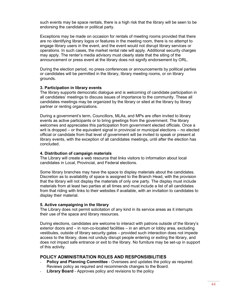such events may be space rentals, there is a high risk that the library will be seen to be endorsing the candidate or political party.

Exceptions may be made on occasion for rentals of meeting rooms provided that there are no identifying library logos or features in the meeting room, there is no attempt to engage library users in the event, and the event would not disrupt library services or operations. In such cases, the market rental rate will apply. Additional security charges may apply. The renter's media advisory must clearly state that the siting of the announcement or press event at the library does not signify endorsement by ORL.

During the election period, no press conferences or announcements by political parties or candidates will be permitted in the library, library meeting rooms, or on library grounds.

#### **3. Participation in library events**

The library supports democratic dialogue and is welcoming of candidate participation in all candidates' meetings to discuss issues of importance to the community. These all candidates meetings may be organized by the library or sited at the library by library partner or renting organizations.

During a government's term, Councillors, MLAs, and MPs are often invited to library events as active participants or to bring greetings from the government. The library welcomes and appreciates this participation from government elected officials. Once a writ is dropped – or the equivalent signal in provincial or municipal elections – no elected official or candidate from that level of government will be invited to speak or present at library events, with the exception of all candidates meetings, until after the election has concluded.

#### **4. Distribution of campaign materials**

The Library will create a web resource that links visitors to information about local candidates in Local, Provincial, and Federal elections.

Some library branches may have the space to display materials about the candidates. Discretion as to availability of space is assigned to the Branch Head, with the provision that the library will not display the materials of only one party. The display must include materials from at least two parties at all times and must include a list of all candidates from that riding with links to their websites if available, with an invitation to candidates to display their material.

#### **5. Active campaigning in the library**

The Library does not permit solicitation of any kind in its service areas as it interrupts their use of the space and library resources.

During elections, candidates are welcome to interact with patrons outside of the library's exterior doors and – in non-co-located facilities – in an atrium or lobby area, excluding vestibules, outside of library security gates – provided such interaction does not impede access to the library, does not unduly disrupt people entering or exiting the library, and does not impact safe entrance or exit to the library. No furniture may be set-up in support of this activity.

# **POLICY ADMINISTRATION ROLES AND RESPONSIBILITIES**

- **Policy and Planning Committee** Oversees and updates the policy as required. Reviews policy as required and recommends changes to the Board.
- **Library Board** Approves policy and revisions to the policy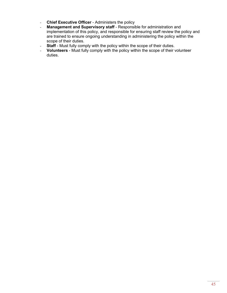- **Chief Executive Officer** Administers the policy
- **Management and Supervisory staff** Responsible for administration and implementation of this policy, and responsible for ensuring staff review the policy and are trained to ensure ongoing understanding in administering the policy within the scope of their duties.
- **Staff** Must fully comply with the policy within the scope of their duties.
- **Volunteers** Must fully comply with the policy within the scope of their volunteer duties.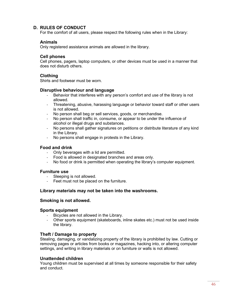# **D. RULES OF CONDUCT**

For the comfort of all users, please respect the following rules when in the Library:

### **Animals**

Only registered assistance animals are allowed in the library.

# **Cell phones**

Cell phones, pagers, laptop computers, or other devices must be used in a manner that does not disturb others.

# **Clothing**

Shirts and footwear must be worn.

# **Disruptive behaviour and language**

- Behavior that interferes with any person's comfort and use of the library is not allowed.
- Threatening, abusive, harassing language or behavior toward staff or other users is not allowed.
- No person shall beg or sell services, goods, or merchandise.
- No person shall traffic in, consume, or appear to be under the influence of alcohol or illegal drugs and substances.
- No persons shall gather signatures on petitions or distribute literature of any kind in the Library.
- No persons shall engage in protests in the Library.

### **Food and drink**

- Only beverages with a lid are permitted.
- Food is allowed in designated branches and areas only.
- No food or drink is permitted when operating the library's computer equipment.

#### **Furniture use**

- Sleeping is not allowed.
- Feet must not be placed on the furniture.

# **Library materials may not be taken into the washrooms.**

#### **Smoking is not allowed.**

#### **Sports equipment**

- Bicycles are not allowed in the Library.
- Other sports equipment (skateboards, inline skates etc.) must not be used inside the library.

# **Theft / Damage to property**

Stealing, damaging, or vandalizing property of the library is prohibited by law. Cutting or removing pages or articles from books or magazines, hacking into, or altering computer settings, and writing in library materials or on furniture or walls is not allowed.

# **Unattended children**

Young children must be supervised at all times by someone responsible for their safety and conduct.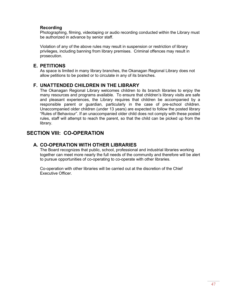# **Recording**

Photographing, filming, videotaping or audio recording conducted within the Library must be authorized in advance by senior staff.

Violation of any of the above rules may result in suspension or restriction of library privileges, including banning from library premises. Criminal offences may result in prosecution.

# **E. PETITIONS**

As space is limited in many library branches, the Okanagan Regional Library does not allow petitions to be posted or to circulate in any of its branches.

# **F. UNATTENDED CHILDREN IN THE LIBRARY**

The Okanagan Regional Library welcomes children to its branch libraries to enjoy the many resources and programs available. To ensure that children's library visits are safe and pleasant experiences, the Library requires that children be accompanied by a responsible parent or guardian, particularly in the case of pre-school children. Unaccompanied older children (under 13 years) are expected to follow the posted library "Rules of Behaviour". If an unaccompanied older child does not comply with these posted rules, staff will attempt to reach the parent, so that the child can be picked up from the library.

# **SECTION VIII: CO-OPERATION**

# **A. CO-OPERATION WITH OTHER LIBRARIES**

The Board recognizes that public, school, professional and industrial libraries working together can meet more nearly the full needs of the community and therefore will be alert to pursue opportunities of co-operating to co-operate with other libraries.

Co-operation with other libraries will be carried out at the discretion of the Chief Executive Officer.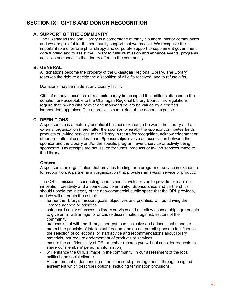# **SECTION IX: GIFTS AND DONOR RECOGNITION**

# **A. SUPPORT OF THE COMMUNITY**

The Okanagan Regional Library is a cornerstone of many Southern Interior communities and we are grateful for the community support that we receive. We recognize the important role of private philanthropy and corporate support to supplement government core funding and to assist the Library to fulfill its mission and enhance events, programs, activities and services the Library offers to the community.

# **B. GENERAL**

All donations become the property of the Okanagan Regional Library. The Library reserves the right to decide the disposition of all gifts received, and to refuse gifts.

Donations may be made at any Library facility.

Gifts of money, securities, or real estate may be accepted if conditions attached to the donation are acceptable to the Okanagan Regional Library Board. Tax regulations require that in-kind gifts of over one thousand dollars be valued by a certified independent appraiser. The appraisal is completed at the donor's expense.

# **C. DEFINITIONS**

A sponsorship is a mutually beneficial business exchange between the Library and an external organization (hereinafter the sponsor) whereby the sponsor contributes funds, products or in-kind services to the Library in return for recognition, acknowledgement or other promotional considerations. Sponsorships involve an association between the sponsor and the Library and/or the specific program, event, service or activity being sponsored. Tax receipts are not issued for funds, products or in-kind services made to the Library.

# **General**

A sponsor is an organization that provides funding for a program or service in exchange for recognition. A partner is an organization that provides an in-kind service or product.

The ORL's mission is connecting curious minds, with a vision to provide for learning, innovation, creativity and a connected community. Sponsorships and partnerships should uphold the integrity of the non-commercial public space that the ORL provides, and we will entertain those that:

- further the library's mission, goals, objectives and priorities, without driving the library's agenda or priorities
- safeguard equity of access to library services and not allow sponsorship agreements to give unfair advantage to, or cause discrimination against, sectors of the community
- are consistent with the library's non-partisan, inclusive and educational mandate
- protect the principle of intellectual freedom and do not permit sponsors to influence the selection of collections, or staff advice and recommendations about library materials, nor require endorsement of products or services.
- ensure the confidentiality of ORL member records (we will not consider requests to share our members' personal information)
- will enhance the ORL's image in the community, in our assessment of the local political and social climate
- Ensure mutual understanding of the sponsorship arrangements through a signed agreement which describes options, including termination provisions.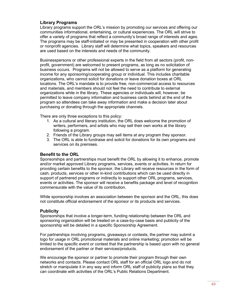# **Library Programs**

Library programs support the ORL's mission by promoting our services and offering our communities informational, entertaining, or cultural experiences. The ORL will strive to offer a variety of programs that reflect a community's broad range of interests and ages. The programs may be staff-initiated or may be presented in cooperation with other profit or nonprofit agencies. Library staff will determine what topics, speakers and resources are used based on the interests and needs of the community.

Businesspersons or other professional experts in the field from all sectors (profit, nonprofit, government) are welcomed to present programs, as long as no solicitation of business occurs. Programs will not be allowed to serve as a platform for generating income for any sponsoring/cooperating group or individual. This includes charitable organizations, who cannot solicit for donations or leave donation boxes at ORL locations. The ORL's mandate is to provide free, non-commercial access to resources and materials, and members should not feel the need to contribute to external organizations while in the library. These agencies or individuals will, however, be permitted to leave company information and business cards behind at the end of the program so attendees can take away information and make a decision later about purchasing or donating through the appropriate channels.

There are only three exceptions to this policy:

- 1. As a cultural and literary institution, the ORL does welcome the promotion of writers, performers, and artists who may sell their own works at the library following a program.
- 2. Friends of the Library groups may sell items at any program they sponsor.
- 3. The ORL is able to fundraise and solicit for donations for its own programs and services on its premises.

#### **Benefit to the ORL**

Sponsorships and partnerships must benefit the ORL by allowing it to enhance, promote and/or market approved Library programs, services, events or activities. In return for providing certain benefits to the sponsor, the Library will receive resources in the form of cash, products, services or other in-kind contributions which can be used directly in support of partnered programs or indirectly to support other ORL programs, services, events or activities. The sponsor will receive a benefits package and level of recognition commensurate with the value of its contribution.

While sponsorship involves an association between the sponsor and the ORL, this does not constitute official endorsement of the sponsor or its products and services.

#### **Publicity**

Sponsorships that involve a longer-term, funding relationship between the ORL and sponsoring organization will be treated on a case-by-case basis and publicity of the sponsorship will be detailed in a specific Sponsorship Agreement.

For partnerships involving programs, giveaways or contests, the partner may submit a logo for usage in ORL promotional materials and online marketing; promotion will be limited to the specific event or contest that the partnership is based upon with no general endorsement of the partner or their services/products.

We encourage the sponsor or partner to promote their program through their own networks and contacts. Please contact ORL staff for an official ORL logo and do not stretch or manipulate it in any way and inform ORL staff of publicity plans so that they can coordinate with activities of the ORL's Public Relations Department.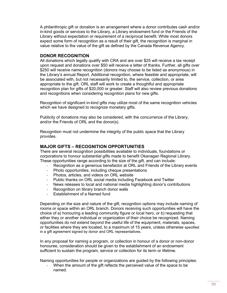A philanthropic gift or donation is an arrangement where a donor contributes cash and/or in-kind goods or services to the Library, a Library endowment fund or the Friends of the Library without expectation or requirement of a reciprocal benefit. While most donors expect some form of recognition as a result of their gift, the recognition is marginal in value relative to the value of the gift as defined by the Canada Revenue Agency.

### **DONOR RECOGNITION**

All donations which legally qualify with CRA and are over \$25 will receive a tax receipt upon request and donations over \$50 will receive a letter of thanks. Further, all gifts over \$250 will receive name recognition (donors may choose to be listed as anonymous) in the Library's annual Report. Additional recognition, where feasible and appropriate, will be associated with, but not necessarily limited to, the service, collection, or area appropriate to the gift. ORL staff will work to create a thoughtful and appropriate recognition plan for gifts of \$20,000 or greater. Staff will also review previous donations and recognitions when considering recognition plans for new gifts.

Recognition of significant in-kind gifts may utilize most of the same recognition vehicles which we have designed to recognize monetary gifts.

Publicity of donations may also be considered, with the concurrence of the Library, and/or the Friends of ORL and the donor(s).

Recognition must not undermine the integrity of the public space that the Library provides.

# **MAJOR GIFTS – RECOGNITION OPPORTUNITIES**

There are several recognition possibilities available to individuals, foundations or corporations to honour substantial gifts made to benefit Okanagan Regional Library. These opportunities range according to the size of the gift, and can include:

- Recognition as a generous benefactor at ORL and Friends of the Library events
- Photo opportunities, including cheque presentations
- Photos, articles, and videos on ORL website
- Public thanks on ORL social media including Facebook and Twitter
- News releases to local and national media highlighting donor's contributions
- Recognition on library branch donor walls
- Establishment of a Named fund

Depending on the size and nature of the gift, recognition options may include naming of rooms or space within an ORL branch. Donors receiving such opportunities will have the choice of a) honouring a leading community figure or local hero, or b) requesting that either they or another individual or organization of their choice be recognized. Naming opportunities do not extend beyond the useful life of the equipment, materials, spaces, or facilities where they are located, to a maximum of 15 years, unless otherwise specified in a gift agreement signed by donor and ORL representatives.

In any proposal for naming a program, or collection in honour of a donor or non-donor honouree, consideration should be given to the establishment of an endowment sufficient to sustain the program, service or collection for its term or lifetime.

Naming opportunities for people or organizations are guided by the following principles:

When the amount of the gift reflects the perceived value of the space to be named.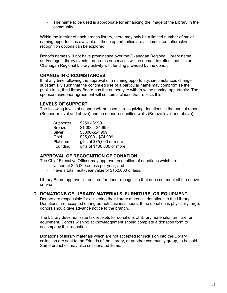The name to be used is appropriate for enhancing the image of the Library in the community.

Within the interior of each branch library, there may only be a limited number of major naming opportunities available. If these opportunities are all committed, alternative recognition options can be explored.

Donor's names will not have prominence over the Okanagan Regional Library name and/or logo. Library events, programs or services will be named to reflect that it is an Okanagan Regional Library activity with funding provided by the donor.

#### **CHANGE IN CIRCUMSTANCES**

If, at any time following the approval of a naming opportunity, circumstances change substantially such that the continued use of a particular name may compromise the public trust, the Library Board has the authority to withdraw the naming opportunity. The sponsorship/donor agreement will contain a clause that reflects this.

# **LEVELS OF SUPPORT**

The following levels of support will be used in recognizing donations in the annual report (Supporter level and above) and on donor recognition walls (Bronze level and above).

| $$250 - $999$              |
|----------------------------|
| $$1,000 - $4,999$          |
| \$5000-\$24,999            |
| \$25,000 - \$74,999        |
| gifts of \$75,000 or more  |
| gifts of \$400,000 or more |
|                            |

# **APPROVAL OF RECOGNITION OF DONATION**

The Chief Executive Officer may approve recognition of donations which are:

- valued at \$25,000 or less per year; and
- have a total multi-year value of \$150,000 or less.

Library Board approval is required for donor recognition that does not meet all the above criteria.

#### **D. DONATIONS OF LIBRARY MATERIALS, FURNITURE, OR EQUIPMENT**

Donors are responsible for delivering their library materials donations to the Library. Donations are accepted during branch business hours. If the donation is physically large, donors should give advance notice to the branch.

The Library does not issue tax receipts for donations of library materials, furniture, or equipment. Donors wishing acknowledgement should complete a donation form to accompany their donation.

Donations of library materials which are not accepted for inclusion into the Library collection are sent to the Friends of the Library, or another community group, to be sold. Some branches may also sell donated items.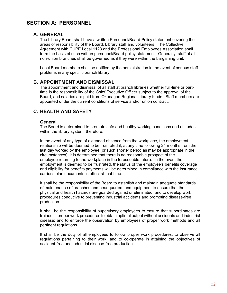# **SECTION X: PERSONNEL**

# **A. GENERAL**

The Library Board shall have a written Personnel/Board Policy statement covering the areas of responsibility of the Board, Library staff and volunteers. The Collective Agreement with CUPE Local 1123 and the Professional Employees Association shall form the basis of such written personnel/Board policy statement. Generally, staff at all non-union branches shall be governed as if they were within the bargaining unit.

Local Board members shall be notified by the administration in the event of serious staff problems in any specific branch library.

# **B. APPOINTMENT AND DISMISSAL**

The appointment and dismissal of all staff at branch libraries whether full-time or parttime is the responsibility of the Chief Executive Officer subject to the approval of the Board, and salaries are paid from Okanagan Regional Library funds. Staff members are appointed under the current conditions of service and/or union contract.

# **C. HEALTH AND SAFETY**

#### **General**

The Board is determined to promote safe and healthy working conditions and attitudes within the library system, therefore:

In the event of any type of extended absence from the workplace, the employment relationship will be deemed to be frustrated if, at any time following 24 months from the last day worked by the employee (or such shorter period as may be appropriate in the circumstances), it is determined that there is no reasonable prospect of the employee returning to the workplace in the foreseeable future. In the event the employment is deemed to be frustrated, the status of the employee's benefits coverage and eligibility for benefits payments will be determined in compliance with the insurance carrier's plan documents in effect at that time.

It shall be the responsibility of the Board to establish and maintain adequate standards of maintenance of branches and headquarters and equipment to ensure that the physical and health hazards are guarded against or eliminated, and to develop work procedures conducive to preventing industrial accidents and promoting disease-free production.

It shall be the responsibility of supervisory employees to ensure that subordinates are trained in proper work procedures to obtain optimal output without accidents and industrial disease; and to enforce the observation by employees of proper work methods and all pertinent regulations.

It shall be the duty of all employees to follow proper work procedures, to observe all regulations pertaining to their work, and to co-operate in attaining the objectives of accident-free and industrial disease-free production.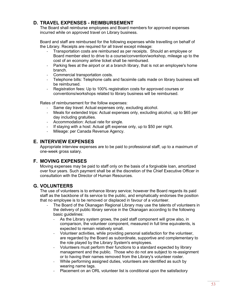# **D. TRAVEL EXPENSES - REIMBURSEMENT**

The Board shall reimburse employees and Board members for approved expenses incurred while on approved travel on Library business.

Board and staff are reimbursed for the following expenses while travelling on behalf of the Library. Receipts are required for all travel except mileage:

- Transportation costs are reimbursed as per receipts. Should an employee or Board member elect to drive to a course/convention/workshop, mileage up to the cost of an economy airline ticket shall be reimbursed.
- Parking fees at the airport or at a branch library, that is not an employee's home branch.
- Commercial transportation costs.
- Telephone bills: Telephone calls and facsimile calls made on library business will be reimbursed.
- Registration fees: Up to 100% registration costs for approved courses or conventions/workshops related to library business will be reimbursed.

Rates of reimbursement for the follow expenses:

- Same day travel: Actual expenses only, excluding alcohol.
- Meals for extended trips: Actual expenses only, excluding alcohol, up to \$65 per day including gratuities.
- Accommodation: Actual rate for single.<br>- If staying with a host: Actual gift expens
- If staying with a host: Actual gift expense only, up to \$50 per night.
- Mileage: per Canada Revenue Agency.

# **E. INTERVIEW EXPENSES**

Appropriate interview expenses are to be paid to professional staff, up to a maximum of one-week gross salary.

# **F. MOVING EXPENSES**

Moving expenses may be paid to staff only on the basis of a forgivable loan, amortized over four years. Such payment shall be at the discretion of the Chief Executive Officer in consultation with the Director of Human Resources.

# **G. VOLUNTEERS**

The use of volunteers is to enhance library service; however the Board regards its paid staff as the backbone of its service to the public, and emphatically endorses the position that no employee is to be removed or displaced in favour of a volunteer.

- The Board of the Okanagan Regional Library may use the talents of volunteers in the delivery of public library service in the Okanagan according to the following basic guidelines:
	- As the Library system grows, the paid staff component will grow also, in comparison, the volunteer component, measured in full time equivalents, is expected to remain relatively small.
	- Volunteer activities, while providing personal satisfaction for the volunteer, are regarded by the Board as subordinate, supportive and complementary to the role played by the Library System's employees.
	- Volunteers must perform their functions to a standard expected by library management and the public. Those who do not are subject to re-assignment or to having their names removed from the Library's volunteer roster.
	- While performing assigned duties, volunteers are identified as such by wearing name tags.
	- Placement on an ORL volunteer list is conditional upon the satisfactory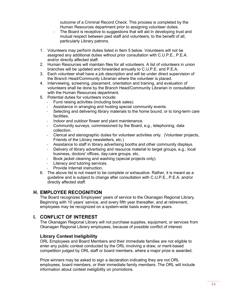outcome of a Criminal Record Check. This process is completed by the Human Resources department prior to assigning volunteer duties.

- The Board is receptive to suggestions that will aid in developing trust and mutual respect between paid staff and volunteers, to the benefit of all, particularly Library patrons.
- 1. Volunteers may perform duties listed in Item 5 below. Volunteers will not be assigned any additional duties without prior consultation with C.U.P.E., P.E.A. and/or directly affected staff.
- 2. Human Resources will maintain files for all volunteers. A list of volunteers in union branches will be updated and forwarded annually to C.U.P.E. and P.E.A.
- 3. Each volunteer shall have a job description and will be under direct supervision of the Branch Head/Community Librarian where the volunteer is placed.
- 4. Interviewing, screening, placement, orientation and training, and evaluation of volunteers shall be done by the Branch Head/Community Librarian in consultation with the Human Resources department.
- 5. Potential duties for volunteers include:
	- Fund raising activities (including book sales).
	- Assistance in arranging and hosting special community events.
	- Selecting and delivering library materials to the home bound, or to long-term care facilities.
	- Indoor and outdoor flower and plant maintenance.
	- Community surveys, commissioned by the Board, e.g., telephoning, data collection.
	- Clerical and stenographic duties for volunteer activities only. (Volunteer projects, Friends of the Library newsletters, etc.)
	- Assistance to staff in library advertising booths and other community displays.
	- Delivery of library advertising and resource material to target groups, e.g., local business, doctors' offices, day-care groups, etc.
	- Book jacket cleaning and washing (special projects only).
	- Literacy and tutoring services.
	- Provide Internet instruction.
- 6. The above list is not meant to be complete or exhaustive. Rather, it is meant as a guideline and is subject to change after consultation with C.U.P.E., P.E.A. and/or directly affected staff.

# **H. EMPLOYEE RECOGNITION**

The Board recognizes Employees' years of service to the Okanagan Regional Library. Beginning with 10 years' service, and every fifth year thereafter, and at retirement, employees may be recognized on a system-wide basis every three years.

# **I. CONFLICT OF INTEREST**

The Okanagan Regional Library will not purchase supplies, equipment, or services from Okanagan Regional Library employees, because of possible conflict of interest.

#### **Library Contest Ineligibility**

ORL Employees and Board Members and their immediate families are not eligible to enter any public contest conducted by the ORL involving a draw, or merit-based competition judged by ORL staff or board members, where a major prize is awarded.

Prize winners may be asked to sign a declaration indicating they are not ORL employees, board members, or their immediate family members. The ORL will include information about contest ineligibility on promotions.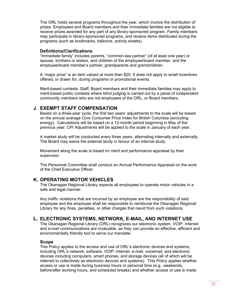The ORL holds several programs throughout the year, which involve the distribution of prizes. Employees and Board members and their immediate families are not eligible to receive prizes awarded for any part of any library-sponsored program. Family members may participate in library-sponsored programs, and receive items distributed during the programs (such as bookmarks, balloons, activity sheets).

#### **Definitions/Clarifications**

"Immediate family" includes parents, "common-law partner" (of at least one year) or spouse, brothers or sisters, and children of the employee/board member, and the employee/board member's partner, grandparents and grandchildren.

A "major prize" is an item valued at more than \$20. It does not apply to small incentives offered, or drawn for, during programs or promotional events.

Merit-based contests: Staff, Board members and their immediate families may apply to merit-based public contests where blind judging is carried out by a panel of independent community members who are not employees of the ORL, or Board members.

# **J. EXEMPT STAFF COMPENSATION**

Based on a three-year cycle, the first two years' adjustments to the scale will be based on the annual average Core Consumer Price Index for British Columbia (excluding energy). Calculations will be based on a 12-month period beginning in May of the previous year. CPI Adjustments will be applied to the scale in January of each year.

A market study will be conducted every three years, alternating internally and externally. The Board may waive the external study in favour of an internal study.

Movement along the scale is based on merit and performance appraisal by their supervisor.

The Personnel Committee shall conduct an Annual Performance Appraisal on the work of the Chief Executive Officer.

# **K. OPERATING MOTOR VEHICLES**

The Okanagan Regional Library expects all employees to operate motor vehicles in a safe and legal manner.

Any traffic violations that are incurred by an employee are the responsibility of said employee and the employee shall be responsible to reimburse the Okanagan Regional Library for any fines, penalties, or other charges that result from such violations.

# **L. ELECTRONIC SYSTEMS, NETWORK, E-MAIL, AND INTERNET USE**

The Okanagan Regional Library (ORL) recognizes our electronic system, VOIP, internet and e-mail communications are invaluable, as they can provide an effective, efficient and environmentally friendly tool to serve our mandate.

#### **Scope**

This Policy applies to the access and use of ORL's electronic devices and systems, including ORL's network, software, VOIP, internet, e-mail, voicemail, and electronic devices including computers, smart phones, and storage devices (all of which will be referred to collectively as electronic devices and systems). This Policy applies whether access or use is made during business hours or personal time (e.g., weekends, before/after working hours, and scheduled breaks) and whether access or use is made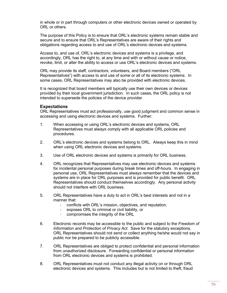in whole or in part through computers or other electronic devices owned or operated by ORL or others.

The purpose of this Policy is to ensure that ORL's electronic systems remain stable and secure and to ensure that ORL's Representatives are aware of their rights and obligations regarding access to and use of ORL's electronic devices and systems.

Access to, and use of, ORL's electronic devices and systems is a privilege, and accordingly, ORL has the right to, at any time and with or without cause or notice, revoke, limit, or alter the ability to access or use ORL's electronic devices and systems.

ORL may provide its staff, contractors, volunteers, and Board members ("ORL Representatives") with access to and use of some or all of its electronic systems. In some cases, ORL Representatives may also be provided with electronic devices.

It is recognized that board members will typically use their own devices or devices provided by their local government jurisdiction. In such cases, the ORL policy is not intended to supersede the policies of the device provider.

#### **Expectations**

ORL Representatives must act professionally, use good judgment and common sense in accessing and using electronic devices and systems. Further:

- 1. When accessing or using ORL's electronic devices and systems, ORL Representatives must always comply with all applicable ORL policies and procedures.
- 2. ORL's electronic devices and systems belong to ORL. Always keep this in mind when using ORL electronic devices and systems.
- 3. Use of ORL electronic devices and systems is primarily for ORL business.
- 4. ORL recognizes that Representatives may use electronic devices and systems for incidental personal purposes during break times and off-hours. In engaging in personal use, ORL Representatives must always remember that the devices and systems are in place for ORL purposes and is provided for public benefit. ORL Representatives should conduct themselves accordingly. Any personal activity should not interfere with ORL business.
- 5. ORL Representatives have a duty to act in ORL's best interests and not in a manner that:
	- conflicts with ORL's mission, objectives, and reputation,
	- exposes ORL to criminal or civil liability, or
	- compromises the integrity of the ORL
- 6. Electronic records may be accessible to the public and subject to the *Freedom of Information and Protection of Privacy Act*. Save for the statutory exceptions, ORL Representatives should not send or collect anything he/she would not say in public nor be prepared to be publicly accessible.
- 7. ORL Representatives are obliged to protect confidential and personal information from unauthorized disclosure. Forwarding confidential or personal information from ORL electronic devices and systems is prohibited.
- 8. ORL Representatives must not conduct any illegal activity on or through ORL electronic devices and systems. This includes but is not limited to theft, fraud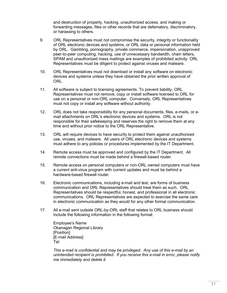and destruction of property, hacking, unauthorized access, and making or forwarding messages, files or other records that are defamatory, discriminatory, or harassing to others.

- 9. ORL Representatives must not compromise the security, integrity or functionality of ORL electronic devices and systems, or ORL data or personal information held by ORL. Gambling, pornography, private commerce, impersonation, unapproved peer-to-peer computing, hacking, use of unnecessary bandwidth, chain letters, SPAM and unauthorized mass mailings are examples of prohibited activity. ORL Representatives must be diligent to protect against viruses and malware.
- 10. ORL Representatives must not download or install any software on electronic devices and systems unless they have obtained the prior written approval of ORL.
- 11. All software is subject to licensing agreements. To prevent liability, ORL Representatives must not remove, copy or install software licensed to ORL for use on a personal or non-ORL computer. Conversely, ORL Representatives must not copy or install any software without authority.
- 12. ORL does not take responsibility for any personal documents, files, e-mails, or email attachments on ORL's electronic devices and systems. ORL is not responsible for their safekeeping and reserves the right to remove them at any time and without prior notice to the ORL Representative.
- 13. ORL will require devices to have security to protect them against unauthorized use, viruses, and malware. All users of ORL electronic devices and systems must adhere to any policies or procedures implemented by the IT Department.
- 14. Remote access must be approved and configured by the IT Department. All remote connections must be made behind a firewall-based router.
- 15. Remote access on personal computers or non-ORL owned computers must have a current anti-virus program with current updates and must be behind a hardware-based firewall router.
- 16. Electronic communications, including e-mail and text, are forms of business communication and ORL Representatives should treat them as such. ORL Representatives should be respectful, honest, and professional in all electronic communications. ORL Representatives are expected to exercise the same care in electronic communication as they would for any other formal communication.
- 17. All e-mail sent outside ORL-by-ORL staff that relates to ORL business should include the following information in the following format:

Employee's Name Okanagan Regional Library [Position] [E-mail Address] Tel:

*This e-mail is confidential and may be privileged. Any use of this e-mail by an unintended recipient is prohibited. If you receive this e-mail in error, please notify me immediately and delete it.*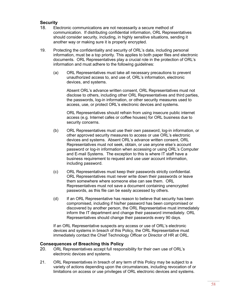# **Security**

- 18. Electronic communications are not necessarily a secure method of communication. If distributing confidential information, ORL Representatives should consider security, including, in highly sensitive situations, sending it another way or making sure it is properly encrypted.
- 19. Protecting the confidentiality and security of ORL's data, including personal information, must be a top priority. This applies to both paper files and electronic documents. ORL Representatives play a crucial role in the protection of ORL's information and must adhere to the following guidelines:
	- (a) ORL Representatives must take all necessary precautions to prevent unauthorized access to, and use of, ORL's information, electronic devices, and systems.

Absent ORL's advance written consent, ORL Representatives must not disclose to others, including other ORL Representatives and third parties, the passwords, log-in information, or other security measures used to access, use, or protect ORL's electronic devices and systems.

ORL Representatives should refrain from using insecure public internet access (e.g. Internet cafes or coffee houses) for ORL business due to security concerns.

- (b) ORL Representatives must use their own password, log-in information, or other approved security measures to access or use ORL's electronic devices and systems. Absent ORL's advance written consent, ORL Representatives must not seek, obtain, or use anyone else's account password or log-in information when accessing or using ORL's Computer and E-mail Systems. The exception to this is where IT staff have a business requirement to request and use user account information, including password.
- (c) ORL Representatives must keep their passwords strictly confidential. ORL Representatives must never write down their passwords or leave them somewhere where someone else can see them. ORL Representatives must not save a document containing unencrypted passwords, as this file can be easily accessed by others.
- (d) If an ORL Representative has reason to believe that security has been compromised, including if his/her password has been compromised or discovered by another person, the ORL Representative must immediately inform the IT department and change their password immediately. ORL Representatives should change their passwords every 90 days.

If an ORL Representative suspects any access or use of ORL's electronic devices and systems in breach of this Policy, the ORL Representative must immediately contact the Chief Technology Officer or Director of HR at ORL.

# **Consequences of Breaching this Policy**

- 20. ORL Representatives accept full responsibility for their own use of ORL's electronic devices and systems.
- 21. ORL Representatives in breach of any term of this Policy may be subject to a variety of actions depending upon the circumstances, including revocation of or limitations on access or use privileges of ORL electronic devices and systems.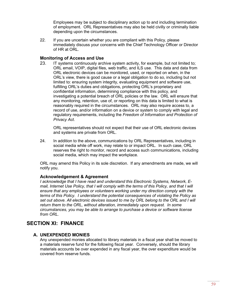Employees may be subject to disciplinary action up to and including termination of employment. ORL Representatives may also be held civilly or criminally liable depending upon the circumstances.

22. If you are uncertain whether you are compliant with this Policy, please immediately discuss your concerns with the Chief Technology Officer or Director of HR at ORL.

# **Monitoring of Access and Use**

23. IT systems continuously archive system activity, for example, but not limited to; ORL email, VOIP, digital files, web traffic, and ILS use. This data and data from ORL electronic devices can be monitored, used, or reported on when, in the ORL's view, there is good cause or a legal obligation to do so, including but not limited to: ensuring system integrity, evaluating equipment and software use, fulfilling ORL's duties and obligations, protecting ORL's proprietary and confidential information, determining compliance with this policy, and investigating a potential breach of ORL policies or the law. ORL will ensure that any monitoring, retention, use of, or reporting on this data is limited to what is reasonably required in the circumstances. ORL may also require access to, a record of use, and/or information on a device or system to comply with legal and regulatory requirements, including the *Freedom of Information and Protection of Privacy Act*.

ORL representatives should not expect that their use of ORL electronic devices and systems are private from ORL.

24. In addition to the above, communications by ORL Representatives, including in social media while off work, may relate to or impact ORL. In such case, ORL reserves the right to monitor, record and access such communications, including social media, which may impact the workplace.

ORL may amend this Policy in its sole discretion. If any amendments are made, we will notify you.

# **Acknowledgement & Agreement**

*I acknowledge that I have read and understand this Electronic Systems, Network, Email, Internet Use Policy, that I will comply with the terms of this Policy, and that I will ensure that any employees or volunteers working under my direction comply with the terms of this Policy. I understand the potential consequences of violating the Policy as set out above. All electronic devices issued to me by ORL belong to the ORL and I will return them to the ORL, without alteration, immediately upon request. In some circumstances, you may be able to arrange to purchase a device or software license from ORL.*

# **SECTION XI: FINANCE**

# **A. UNEXPENDED MONIES**

Any unexpended monies allocated to library materials in a fiscal year shall be moved to a materials reserve fund for the following fiscal year. Conversely, should the library materials accounts be over expended in any fiscal year, the over expenditure would be covered from reserve funds.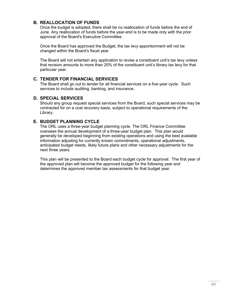# **B. REALLOCATION OF FUNDS**

Once the budget is adopted, there shall be no reallocation of funds before the end of June. Any reallocation of funds before the year-end is to be made only with the prior approval of the Board's Executive Committee.

Once the Board has approved the Budget, the tax levy apportionment will not be changed within the Board's fiscal year.

The Board will not entertain any application to revise a constituent unit's tax levy unless that revision amounts to more than 25% of the constituent unit's library tax levy for that particular year.

#### **C. TENDER FOR FINANCIAL SERVICES**

The Board shall go out to tender for all financial services on a five-year cycle. Such services to include auditing, banking, and insurance.

#### **D. SPECIAL SERVICES**

Should any group request special services from the Board, such special services may be contracted for on a cost recovery basis, subject to operational requirements of the Library.

# **E. BUDGET PLANNING CYCLE**

The ORL uses a three-year budget planning cycle. The ORL Finance Committee oversees the annual development of a three-year budget plan. This plan would generally be developed beginning from existing operations and using the best available information adjusting for currently known commitments, operational adjustments, anticipated budget needs, likely future plans and other necessary adjustments for the next three years.

This plan will be presented to the Board each budget cycle for approval. The first year of the approved plan will become the approved budget for the following year and determines the approved member tax assessments for that budget year.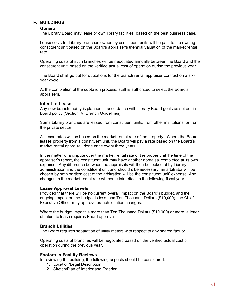# **F. BUILDINGS**

#### **General**

The Library Board may lease or own library facilities, based on the best business case.

Lease costs for Library branches owned by constituent units will be paid to the owning constituent unit based on the Board's appraiser's triennial valuation of the market rental rate.

Operating costs of such branches will be negotiated annually between the Board and the constituent unit, based on the verified actual cost of operation during the previous year.

The Board shall go out for quotations for the branch rental appraiser contract on a sixyear cycle.

At the completion of the quotation process, staff is authorized to select the Board's appraisers.

#### **Intent to Lease**

Any new branch facility is planned in accordance with Library Board goals as set out in Board policy (Section IV: Branch Guidelines).

Some Library branches are leased from constituent units, from other institutions, or from the private sector.

All lease rates will be based on the market rental rate of the property. Where the Board leases property from a constituent unit, the Board will pay a rate based on the Board's market rental appraisal, done once every three years.

In the matter of a dispute over the market rental rate of the property at the time of the appraiser's report, the constituent unit may have another appraisal completed at its own expense. Any difference between the appraisals will then be looked at by Library administration and the constituent unit and should it be necessary, an arbitrator will be chosen by both parties; cost of the arbitration will be the constituent unit' expense. Any changes to the market rental rate will come into effect in the following fiscal year.

#### **Lease Approval Levels**

Provided that there will be no current overall impact on the Board's budget, and the ongoing impact on the budget is less than Ten Thousand Dollars (\$10,000), the Chief Executive Officer may approve branch location changes.

Where the budget impact is more than Ten Thousand Dollars (\$10,000) or more, a letter of intent to lease requires Board approval.

#### **Branch Utilities**

The Board requires separation of utility meters with respect to any shared facility.

Operating costs of branches will be negotiated based on the verified actual cost of operation during the previous year.

#### **Factors in Facility Reviews**

In reviewing the building, the following aspects should be considered:

- 1. Location/Legal Description
- 2. Sketch/Plan of Interior and Exterior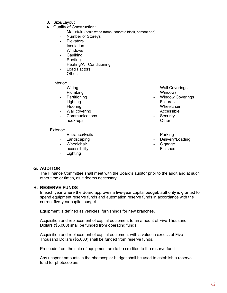- 3. Size/Layout
- 4. Quality of Construction:
	- Materials (basic wood frame, concrete block, cement pad)
	- Number of Storeys
	- **Elevators**
	- Insulation
	- **Windows**
	- Caulking
	- Roofing
	- Heating/Air Conditioning
	- Load Factors
	- Other.

Interior:

- Wiring
- Plumbing
- Partitioning
- Lighting
- Flooring
- Wall covering
- Communications hook-ups

#### Exterior:

- Entrance/Exits
- Landscaping
- Wheelchair
- accessibility
- Lighting
- Wall Coverings
- Windows
- **Window Coverings**
- **Fixtures**
- Wheelchair
- Accessible
- Security
- Other
- **Parking**
- Delivery/Loading
- **Signage**
- **Finishes**

# **G. AUDITOR**

The Finance Committee shall meet with the Board's auditor prior to the audit and at such other time or times, as it deems necessary.

#### **H. RESERVE FUNDS**

In each year where the Board approves a five-year capital budget, authority is granted to spend equipment reserve funds and automation reserve funds in accordance with the current five-year capital budget.

Equipment is defined as vehicles, furnishings for new branches.

Acquisition and replacement of capital equipment to an amount of Five Thousand Dollars (\$5,000) shall be funded from operating funds.

Acquisition and replacement of capital equipment with a value in excess of Five Thousand Dollars (\$5,000) shall be funded from reserve funds.

Proceeds from the sale of equipment are to be credited to the reserve fund.

Any unspent amounts in the photocopier budget shall be used to establish a reserve fund for photocopiers.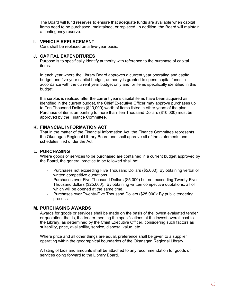The Board will fund reserves to ensure that adequate funds are available when capital items need to be purchased, maintained, or replaced. In addition, the Board will maintain a contingency reserve.

#### **I. VEHICLE REPLACEMENT**

Cars shall be replaced on a five-year basis.

#### **J. CAPITAL EXPENDITURES**

Purpose is to specifically identify authority with reference to the purchase of capital items.

In each year where the Library Board approves a current year operating and capital budget and five-year capital budget, authority is granted to spend capital funds in accordance with the current year budget only and for items specifically identified in this budget.

If a surplus is realized after the current year's capital items have been acquired as identified in the current budget, the Chief Executive Officer may approve purchases up to Ten Thousand Dollars (\$10,000) worth of items listed in other years of the plan. Purchase of items amounting to more than Ten Thousand Dollars (\$10,000) must be approved by the Finance Committee.

#### **K. FINANCIAL INFORMATION ACT**

That in the matter of the Financial Information Act, the Finance Committee represents the Okanagan Regional Library Board and shall approve all of the statements and schedules filed under the Act.

### **L. PURCHASING**

Where goods or services to be purchased are contained in a current budget approved by the Board, the general practice to be followed shall be:

- Purchases not exceeding Five Thousand Dollars (\$5,000): By obtaining verbal or written competitive quotations.
- Purchases over Five Thousand Dollars (\$5,000) but not exceeding Twenty-Five Thousand dollars (\$25,000): By obtaining written competitive quotations, all of which will be opened at the same time.
- Purchases over Twenty-Five Thousand Dollars (\$25,000): By public tendering process.

#### **M. PURCHASING AWARDS**

Awards for goods or services shall be made on the basis of the lowest evaluated tender or quotation: that is, the tender meeting the specifications at the lowest overall cost to the Library, as determined by the Chief Executive Officer, considering such factors as suitability, price, availability, service, disposal value, etc.

Where price and all other things are equal, preference shall be given to a supplier operating within the geographical boundaries of the Okanagan Regional Library.

A listing of bids and amounts shall be attached to any recommendation for goods or services going forward to the Library Board.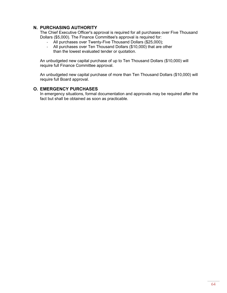# **N. PURCHASING AUTHORITY**

The Chief Executive Officer's approval is required for all purchases over Five Thousand Dollars (\$5,000). The Finance Committee's approval is required for:

- All purchases over Twenty-Five Thousand Dollars (\$25,000);
- All purchases over Ten Thousand Dollars (\$10,000) that are other than the lowest evaluated tender or quotation.

An unbudgeted new capital purchase of up to Ten Thousand Dollars (\$10,000) will require full Finance Committee approval.

An unbudgeted new capital purchase of more than Ten Thousand Dollars (\$10,000) will require full Board approval.

# **O. EMERGENCY PURCHASES**

In emergency situations, formal documentation and approvals may be required after the fact but shall be obtained as soon as practicable.